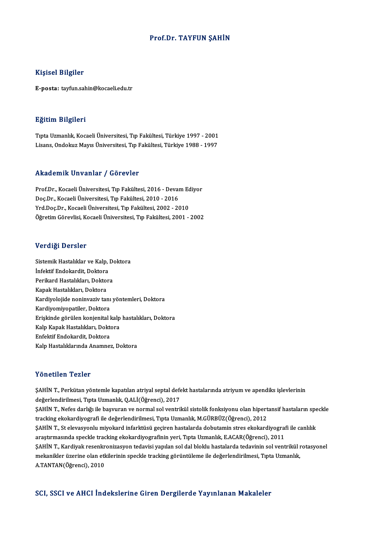### Prof.Dr. TAYFUN ŞAHİN

### Kişisel Bilgiler

E-posta: tayfun.sahin@kocaeli.edu.tr

### Eğitim Bilgileri

E<mark>ğitim Bilgileri</mark><br>Tıpta Uzmanlık, Kocaeli Üniversitesi, Tıp Fakültesi, Türkiye 1997 - 2001<br>Lisans Ondolauz Maus Üniversitesi, Tıp Fakültesi, Türkiye 1999 - 1997 Lisans, Daryasaa<br>Tıpta Uzmanlık, Kocaeli Üniversitesi, Tıp Fakültesi, Türkiye 1997 - 2001<br>Lisans, Ondokuz Mayıs Üniversitesi, Tıp Fakültesi, Türkiye 1988 - 1997 Lisans, Ondokuz Mayıs Üniversitesi, Tıp Fakültesi, Türkiye 1988 - 1997<br>Akademik Unvanlar / Görevler

Akademik Unvanlar / Görevler<br>Prof.Dr., Kocaeli Üniversitesi, Tıp Fakültesi, 2016 - Devam Ediyor<br>Des.Dr., Kosaeli Üniversitesi, Tıp Fakültesi, 2010 - 2016 Doç.Dr.,KocaeliÜniversitesi,Tıp Fakültesi,2010 -2016 Prof.Dr., Kocaeli Üniversitesi, Tıp Fakültesi, 2016 - Devam Ec<br>Doç.Dr., Kocaeli Üniversitesi, Tıp Fakültesi, 2010 - 2016<br>Yrd.Doç.Dr., Kocaeli Üniversitesi, Tıp Fakültesi, 2002 - 2010<br>Öğretim Cönevlisi, Kosaeli Üniversitesi Doç.Dr., Kocaeli Üniversitesi, Tıp Fakültesi, 2010 - 2016<br>Yrd.Doç.Dr., Kocaeli Üniversitesi, Tıp Fakültesi, 2002 - 2010<br>Öğretim Görevlisi, Kocaeli Üniversitesi, Tıp Fakültesi, 2001 - 2002

### Verdiği Dersler

Verdiği Dersler<br>Sistemik Hastalıklar ve Kalp, Doktora<br>İnfoktif Endekardit, Doktora **The Lines of State**<br>Sistemik Hastalıklar ve Kalp,<br>İnfektif Endokardit, Doktora<br>Perikard Hastalıkları, Doktor Sistemik Hastalıklar ve Kalp, Do<br>İnfektif Endokardit, Doktora<br>Perikard Hastalıkları, Doktora<br>Kanak Hastalıkları, Doktora İnfektif Endokardit, Doktora<br>Perikard Hastalıkları, Doktor<br>Kapak Hastalıkları, Doktora<br>Kardivolejide neninyariy ta Perikard Hastalıkları, Doktora<br>Kapak Hastalıkları, Doktora<br>Kardiyolojide noninvaziv tanı yöntemleri, Doktora<br>Kardiyomiyopatiler, Doktora Kapak Hastalıkları, Doktora<br>Kardiyolojide noninvaziv tanı<br>Kardiyomiyopatiler, Doktora<br>Eriskinde görülen konienital l Kardiyolojide noninvaziv tanı yöntemleri, Doktora<br>Kardiyomiyopatiler, Doktora<br>Erişkinde görülen konjenital kalp hastalıkları, Doktora<br>Kalp Kapak Hastalıkları, Doktora Kardiyomiyopatiler, Doktora<br>Erişkinde görülen konjenital kalp<br>Kalp Kapak Hastalıkları, Doktora<br>Enfeltif Endekandit, Doktora Erişkinde görülen konjenital l<br>Kalp Kapak Hastalıkları, Dokto<br>Enfektif Endokardit, Doktora<br>Kalp Hastalıklarında Anamnas Kalp Kapak Hastalıkları, Doktora<br>Enfektif Endokardit, Doktora<br>Kalp Hastalıklarında Anamnez, Doktora

## Yönetilen Tezler

Yönetilen Tezler<br>ŞAHİN T., Perkütan yöntemle kapatılan atriyal septal defekt hastalarında atriyum ve apendiks işlevlerinin<br>değarlandirilmesi, Tınta Uzmanlık, QALİ(Öğrensi), 2017 1 SASERSAT 1 SASER<br>ŞAHİN T., Perkütan yöntemle kapatılan atriyal septal defe<br>değerlendirilmesi, Tıpta Uzmanlık, Q.ALİ(Öğrenci), 2017<br>SAHİN T. Nefes darlığı ile başyuran ve normal sel ventril ŞAHİN T., Perkütan yöntemle kapatılan atriyal septal defekt hastalarında atriyum ve apendiks işlevlerinin<br>değerlendirilmesi, Tıpta Uzmanlık, Q.ALİ(Öğrenci), 2017<br>ŞAHİN T., Nefes darlığı ile başvuran ve normal sol ventrikül değerlendirilmesi, Tıpta Uzmanlık, Q.ALİ(Öğrenci), 2017<br>ŞAHİN T., Nefes darlığı ile başvuran ve normal sol ventrikül sistolik fonksiyonu olan hipert<br>tracking ekokardiyografi ile değerlendirilmesi, Tıpta Uzmanlık, M.GÜRBÜZ( ŞAHİN T., Nefes darlığı ile başvuran ve normal sol ventrikül sistolik fonksiyonu olan hipertansif hastaların spe<br>tracking ekokardiyografi ile değerlendirilmesi, Tıpta Uzmanlık, M.GÜRBÜZ(Öğrenci), 2012<br>ŞAHİN T., St elevasyo tracking ekokardiyografi ile değerlendirilmesi, Tıpta Uzmanlık, M.GÜRBÜZ(Öğrenci), 2012<br>ŞAHİN T., St elevasyonlu miyokard infarktüsü geçiren hastalarda dobutamin stres ekokardiyograf<br>araştırmasında speckle tracking ekokard ŞAHİN T., St elevasyonlu miyokard infarktüsü geçiren hastalarda dobutamin stres ekokardiyografi ile canlılık<br>araştırmasında speckle tracking ekokardiyografinin yeri, Tıpta Uzmanlık, E.ACAR(Öğrenci), 2011<br>ŞAHİN T., Kardiyak araştırmasında speckle tracking ekokardiyografinin yeri, Tıpta Uzmanlık, E.ACAR(Öğrenci), 2011<br>ŞAHİN T., Kardiyak resenkronizasyon tedavisi yapılan sol dal bloklu hastalarda tedavinin sol ventrikül ı<br>mekanikler üzerine ola ŞAHİN T., Kardiyak resenkr<br>mekanikler üzerine olan et<del>l</del><br>A.TANTAN(Öğrenci), 2010

# A.TANTAN(Öğrenci), 2010<br>SCI, SSCI ve AHCI İndekslerine Giren Dergilerde Yayınlanan Makaleler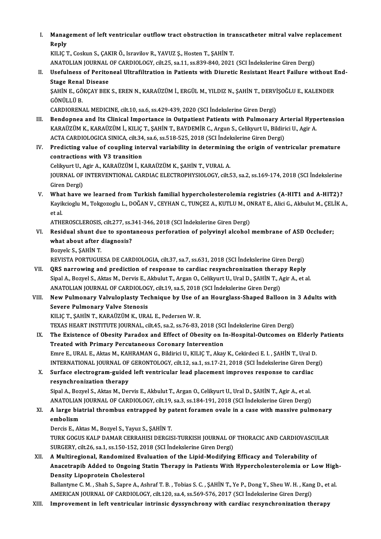I. Management of left ventricular outflow tract obstruction in transcatheter mitral valve replacement<br>Reply Manag<br>Reply<br>KU IC 7

Reply<br>KILIÇ T., Coskun S., ÇAKIR Ö., Isravilov R., YAVUZ S., Hosten T., ŞAHİN T. Reply<br>KILIÇ T., Coskun S., ÇAKIR Ö., Isravilov R., YAVUZ Ş., Hosten T., ŞAHİN T.<br>ANATOLIAN JOURNAL OF CARDIOLOGY, cilt.25, sa.11, ss.839-840, 2021 (SCI İndekslerine Giren Dergi)<br>Hasfulness of Peritoneal Ultrafiltration in

II. Usefulness of Peritoneal Ultrafiltration in Patients with Diuretic Resistant Heart Failure without End-<br>Stage Renal Disease ANATOLIAN JOURNAL<br>Usefulness of Perito<br>Stage Renal Disease<br>SAHINE CÖVCAV PEV Usefulness of Peritoneal Ultrafiltration in Patients with Diuretic Resistant Heart Failure without I<br>Stage Renal Disease<br>ŞAHİN E., GÖKÇAY BEK S., EREN N., KARAÜZÜM İ., ERGÜL M., YILDIZ N., ŞAHİN T., DERVİŞOĞLU E., KALENDER

GÖNÜLLÜ B.<br>CARDIORENAL MEDICINE, cilt,10, sa,6, ss,429-439, 2020 (SCI İndekslerine Giren Dergi) ŞAHİN E., GÖKÇAY BEK S., EREN N., KARAÜZÜM İ., ERGÜL M., YILDIZ N., ŞAHİN T., DERVİ<br>GÖNÜLLÜ B.<br>CARDIORENAL MEDICINE, cilt.10, sa.6, ss.429-439, 2020 (SCI İndekslerine Giren Dergi)<br>Bendennee and Its Clinisel Impertance in Q

- GÖNÜLLÜ B.<br>CARDIORENAL MEDICINE, cilt.10, sa.6, ss.429-439, 2020 (SCI İndekslerine Giren Dergi)<br>III. Bendopnea and Its Clinical Importance in Outpatient Patients with Pulmonary Arterial Hypertension<br>KARAÜZÜM K. KARAÜZÜM İ. CARDIORENAL MEDICINE, cilt.10, sa.6, ss.429-439, 2020 (SCI İndekslerine Giren Dergi)<br>Bendopnea and Its Clinical Importance in Outpatient Patients with Pulmonary Arterial Hype<br>KARAÜZÜM K., KARAÜZÜM İ., KILIÇ T., ŞAHİN T., B Bendopnea and Its Clinical Importance in Outpatient Patients with Pulmonary Ar<br>KARAÜZÜM K., KARAÜZÜM İ., KILIÇ T., ŞAHİN T., BAYDEMİR C., Argun S., Celikyurt U., Bildiri<br>ACTA CARDIOLOGICA SINICA, cilt.34, sa.6, ss.518-525, KARAÜZÜM K., KARAÜZÜM İ., KILIÇ T., ŞAHİN T., BAYDEMİR C., Argun S., Celikyurt U., Bildirici U., Agir A.<br>ACTA CARDIOLOGICA SINICA, cilt.34, sa.6, ss.518-525, 2018 (SCI İndekslerine Giren Dergi)<br>IV. Predicting value of coup
- ACTA CARDIOLOGICA SINICA, cilt.34<br>Predicting value of coupling internations with V3 transition<br>Colibrust II, Agis A, VARAUZUM L.V

contractions with V3 transition<br>Celikyurt U., Agir A., KARAÜZÜM İ., KARAÜZÜM K., ŞAHİN T., VURAL A. contractions with V3 transition<br>Celikyurt U., Agir A., KARAÜZÜM İ., KARAÜZÜM K., ŞAHİN T., VURAL A.<br>JOURNAL OF INTERVENTIONAL CARDIAC ELECTROPHYSIOLOGY, cilt.53, sa.2, ss.169-174, 2018 (SCI İndekslerine<br>Ciron Dergi) Celikyurt U., *i*<br>JOURNAL OF<br>Giren Dergi)<br>What baye JOURNAL OF INTERVENTIONAL CARDIAC ELECTROPHYSIOLOGY, cilt.53, sa.2, ss.169-174, 2018 (SCI İndekslerine<br>Giren Dergi)<br>V. What have we learned from Turkish familial hypercholesterolemia registries (A-HIT1 and A-HIT2)?<br>V. What

Giren Dergi)<br>What have we learned from Turkish familial hypercholesterolemia registries (A-HIT1 and A-HIT2)?<br>Kayikcioglu M., Tokgozoglu L., DOĞAN V., CEYHAN C., TUNÇEZ A., KUTLU M., ONRAT E., Alici G., Akbulut M., ÇELİK A. **Wha<br>Kayil<br>et al.** Kayikcioglu M., Tokgozoglu L., DOĞAN V., CEYHAN C., TUNÇEZ A., KUTLU M., Ol<br>et al.<br>ATHEROSCLEROSIS, cilt.277, ss.341-346, 2018 (SCI İndekslerine Giren Dergi)<br>Posidual shunt dua ta spontaneous porforation of noluvinul alsoh et al.<br>ATHEROSCLEROSIS, cilt.277, ss.341-346, 2018 (SCI İndekslerine Giren Dergi)<br>VI. Residual shunt due to spontaneous perforation of polyvinyl alcohol membrane of ASD Occluder;

ATHEROSCLEROSIS, cilt.277, ss.3<br>Residual shunt due to spont<br>what about after diagnosis?<br>Pozyels S. SAHIN T Residual shunt du<br>what about after<br>Bozyelc S., ŞAHİN T.<br>PEVISTA POPTICUE what about after diagnosis?<br>Bozyelc S., ŞAHİN T.<br>REVISTA PORTUGUESA DE CARDIOLOGIA, cilt.37, sa.7, ss.631, 2018 (SCI İndekslerine Giren Dergi)<br>OBS narrowing and prodistion of response to cardine resynshrepisstion thereny B

Bozyelc S., ŞAHİN T.<br>REVISTA PORTUGUESA DE CARDIOLOGIA, cilt.37, sa.7, ss.631, 2018 (SCI İndekslerine Giren Dergi)<br>VII. QRS narrowing and prediction of response to cardiac resynchronization therapy Reply<br>Sinal A. Borvel S. REVISTA PORTUGUESA DE CARDIOLOGIA, cilt.37, sa.7, ss.631, 2018 (SCI İndekslerine Giren Dergi)<br>QRS narrowing and prediction of response to cardiac resynchronization therapy Reply<br>Sipal A., Bozyel S., Aktas M., Dervis E., Ak QRS narrowing and prediction of response to cardiac resynchronization therapy Reply<br>Sipal A., Bozyel S., Aktas M., Dervis E., Akbulut T., Argan O., Celikyurt U., Ural D., ŞAHİN T., Agir A., et al.<br>ANATOLIAN JOURNAL OF CARD Sipal A., Bozyel S., Aktas M., Dervis E., Akbulut T., Argan O., Celikyurt U., Ural D., ŞAHİN T., Agir A., et al.<br>ANATOLIAN JOURNAL OF CARDIOLOGY, cilt.19, sa.5, 2018 (SCI İndekslerine Giren Dergi)<br>VIII. New Pulmonary Valvu

# ANATOLIAN JOURNAL OF CARDIOLOG<br>New Pulmonary Valvuloplasty Tec<br>Severe Pulmonary Valve Stenosis<br>VILIC T. SAHIN T. KARAÜZÜM K. URA New Pulmonary Valvuloplasty Technique by Use of<br>Severe Pulmonary Valve Stenosis<br>KILIÇ T., ŞAHİN T., KARAÜZÜM K., URAL E., Pedersen W. R.<br>TEVAS UEAPT INSTITUTE IQUPNAL .sik 45, 83, 83, 76, 83, 7 Severe Pulmonary Valve Stenosis<br>KILIÇ T., ŞAHİN T., KARAÜZÜM K., URAL E., Pedersen W. R.<br>TEXAS HEART INSTITUTE JOURNAL, cilt.45, sa.2, ss.76-83, 2018 (SCI İndekslerine Giren Dergi)<br>The Evistenes of Obesity Paradov and Effe

- KILIÇ T., ŞAHİN T., KARAÜZÜM K., URAL E., Pedersen W. R.<br>TEXAS HEART INSTITUTE JOURNAL, cilt.45, sa.2, ss.76-83, 2018 (SCI İndekslerine Giren Dergi)<br>IX. The Existence of Obesity Paradox and Effect of Obesity on In-Hosp TEXAS HEART INSTITUTE JOURNAL, cilt.45, sa.2, ss.76-83, 2018 (SC.<br>The Existence of Obesity Paradox and Effect of Obesity on I<br>Treated with Primary Percutaneous Coronary Intervention<br>France LURALE, Altre M. KAHRAMAN C. Bild The Existence of Obesity Paradox and Effect of Obesity on In-Hospital-Outcomes on Elderly<br>Treated with Primary Percutaneous Coronary Intervention<br>Emre E., URAL E., Aktas M., KAHRAMAN G., Bildirici U., KILIÇ T., Akay K., Ce Treated with Primary Percutaneous Coronary Intervention<br>Emre E., URAL E., Aktas M., KAHRAMAN G., Bildirici U., KILIÇ T., Akay K., Cekirdeci E. I. , ŞAHİN T., Ural D.<br>INTERNATIONAL JOURNAL OF GERONTOLOGY, cilt.12, sa.1, ss. Emre E., URAL E., Aktas M., KAHRAMAN G., Bildirici U., KILIÇ T., Akay K., Cekirdeci E. I. , ŞAHİN T., Ural D<br>INTERNATIONAL JOURNAL OF GERONTOLOGY, cilt.12, sa.1, ss.17-21, 2018 (SCI İndekslerine Giren Der<br>X. Surface electr
- INTERNATIONAL JOURNAL OF GERONTOLOGY, cilt.12, sa.1, ss.17-21, 2018 (SCI Indekslerine Giren Dergi)<br>Surface electrogram-guided left ventricular lead placement improves response to cardiac<br>resynchronization therapy X. Surface electrogram-guided left ventricular lead placement improves response to cardiac<br>resynchronization therapy<br>Sipal A., Bozyel S., Aktas M., Dervis E., Akbulut T., Argan O., Celikyurt U., Ural D., ŞAHİN T., Agir A.,

Sipal A., Bozyel S., Aktas M., Dervis E., Akbulut T., Argan O., Celikyurt U., Ural D., SAHİN T., Agir A., et al. Sipal A., Bozyel S., Aktas M., Dervis E., Akbulut T., Argan O., Celikyurt U., Ural D., ŞAHİN T., Agir A., et al.<br>ANATOLIAN JOURNAL OF CARDIOLOGY, cilt.19, sa.3, ss.184-191, 2018 (SCI İndekslerine Giren Dergi)<br>XI. A large b

ANATOLIAN<br>A large bia<br>embolism<br>Dorgis E Al A large biatrial thrombus entrapped by p:<br>embolism<br>Dercis E., Aktas M., Bozyel S., Yayuz S., ŞAHİN T.<br>TURK COCUS KALR RAMAR CERRAHISI RERCIS

embolism<br>Dercis E., Aktas M., Bozyel S., Yayuz S., ŞAHİN T.<br>TURK GOGUS KALP DAMAR CERRAHISI DERGISI-TURKISH JOURNAL OF THORACIC AND CARDIOVASCULAR<br>SURCERY, S<sup>ilt 26</sup>. Sa.d. Sa.150,152,2018 (SSL İndekakısıne Siren Dergi) Dercis E., Aktas M., Bozyel S., Yayuz S., ŞAHİN T.<br>TURK GOGUS KALP DAMAR CERRAHISI DERGISI-TURKISH JOURNAL OF<br>SURGERY, cilt.26, sa.1, ss.150-152, 2018 (SCI İndekslerine Giren Dergi)<br>A Multinegianal, Bandamirad Evaluation o TURK GOGUS KALP DAMAR CERRAHISI DERGISI-TURKISH JOURNAL OF THORACIC AND CARDIOVASCU<br>SURGERY, cilt.26, sa.1, ss.150-152, 2018 (SCI Indekslerine Giren Dergi)<br>XII. A Multiregional, Randomized Evaluation of the Lipid-Modifying

SURGERY, cilt.26, sa.1, ss.150-152, 2018 (SCI İndekslerine Giren Dergi)<br>A Multiregional, Randomized Evaluation of the Lipid-Modifying Efficacy and Tolerability of<br>Anacetrapib Added to Ongoing Statin Therapy in Patients Wit A Multiregional, Randomized Eva<br>Anacetrapib Added to Ongoing S<br>Density Lipoprotein Cholesterol<br>Ballanture C.M., Shah S. Sanna A. Ad Anacetrapib Added to Ongoing Statin Therapy in Patients With Hypercholesterolemia or Low High<br>Density Lipoprotein Cholesterol<br>Ballantyne C. M. , Shah S., Sapre A., Ashraf T. B. , Tobias S. C. , ŞAHİN T., Ye P., Dong Y., Sh

Density Lipoprotein Cholesterol<br>Ballantyne C. M. , Shah S., Sapre A., Ashraf T. B. , Tobias S. C. , ŞAHİN T., Ye P., Dong Y., Sheu W. H. , Kang D., et al.<br>AMERICAN JOURNAL OF CARDIOLOGY, cilt.120, sa.4, ss.569-576, 2017 (S

XIII. Improvement in left ventricular intrinsic dyssynchrony with cardiac resynchronization therapy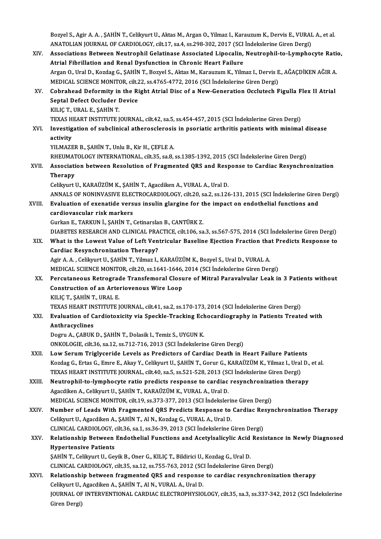Bozyel S., Agir A. A. , ŞAHİN T., Celikyurt U., Aktas M., Argan O., Yilmaz I., Karauzum K., Dervis E., VURAL A., et al.<br>ANATOLIAN IQUPNAL OE GARDIQLOCX. silt 17, sa 4, sa 209, 202, 2017. (SCL Indekskeims Ciren Dergi). Bozyel S., Agir A. A. , ŞAHİN T., Celikyurt U., Aktas M., Argan O., Yilmaz I., Karauzum K., Dervis E., VURAI<br>ANATOLIAN JOURNAL OF CARDIOLOGY, cilt.17, sa.4, ss.298-302, 2017 (SCI İndekslerine Giren Dergi)<br>Assosiatione Bety Bozyel S., Agir A. A. , ŞAHİN T., Celikyurt U., Aktas M., Argan O., Yilmaz I., Karauzum K., Dervis E., VURAL A., et al.<br>ANATOLIAN JOURNAL OF CARDIOLOGY, cilt.17, sa.4, ss.298-302, 2017 (SCI İndekslerine Giren Dergi)<br>XIV. A

ANATOLIAN JOURNAL OF CARDIOLOGY, cilt.17, sa.4, ss.298-302, 2017 (SCI Indekslerine Giren Dergi)<br>Associations Between Neutrophil Gelatinase Associated Lipocalin, Neutrophil-to-Lymphocyte Ratio,<br>Atrial Fibrillation and Renal Associations Between Neutrophil Gelatinase Associated Lipocalin, Neutrophil-to-Lymphocyte Ration<br>Atrial Fibrillation and Renal Dysfunction in Chronic Heart Failure<br>Argan O., Ural D., Kozdag G., ŞAHİN T., Bozyel S., Aktas M Atrial Fibrillation and Renal Dysfunction in Chronic Heart Failure<br>Argan O., Ural D., Kozdag G., ŞAHİN T., Bozyel S., Aktas M., Karauzum K., Yilmaz I., Dervis E<br>MEDICAL SCIENCE MONITOR, cilt.22, ss.4765-4772, 2016 (SCI İnd Argan O., Ural D., Kozdag G., ŞAHİN T., Bozyel S., Aktas M., Karauzum K., Yilmaz I., Dervis E., AĞAÇDİKEN AĞIR A<br>MEDICAL SCIENCE MONITOR, cilt.22, ss.4765-4772, 2016 (SCI İndekslerine Giren Dergi)<br>XV. Cobrahead Deformity i MEDICAL SCIENCE MONITOR, cilt.<br>Cobrahead Deformity in the Ri<br>Septal Defect Occluder Device<br>KILIC T. URAL E. SAHIN T Cobrahead Deformity in<br>Septal Defect Occluder I<br>KILIÇ T., URAL E., ŞAHİN T.<br>TEVAS UEAPT INSTITUTE I Septal Defect Occluder Device<br>KILIÇ T., URAL E., ŞAHİN T.<br>TEXAS HEART INSTITUTE JOURNAL, cilt.42, sa.5, ss.454-457, 2015 (SCI İndekslerine Giren Dergi)<br>Investigation of subelinical athorogelorogia in pooriatie arthritis po KILIÇ T., URAL E., ŞAHİN T.<br>TEXAS HEART INSTITUTE JOURNAL, cilt.42, sa.5, ss.454-457, 2015 (SCI İndekslerine Giren Dergi)<br>XVI. Investigation of subclinical atherosclerosis in psoriatic arthritis patients with minimal d TEXAS H<br>Investig<br>activity<br><sup>VII MAZE</sup> Investigation of subclinical atherosclerosis<br>activity<br>YILMAZER B., ŞAHİN T., Unlu B., Kir H., ÇEFLE A.<br>BHEUMATOLOCY INTERNATIONAL qilt 25, 88, 8 a<mark>ctivity</mark><br>YILMAZER B., ŞAHİN T., Unlu B., Kir H., ÇEFLE A.<br>RHEUMATOLOGY INTERNATIONAL, cilt.35, sa.8, ss.1385-1392, 2015 (SCI İndekslerine Giren Dergi)<br>Assosiation betyvesn Beselution of Exasymented OBS and Besnones to Ca YILMAZER B., ŞAHİN T., Unlu B., Kir H., ÇEFLE A.<br>RHEUMATOLOGY INTERNATIONAL, cilt.35, sa.8, ss.1385-1392, 2015 (SCI İndekslerine Giren Dergi)<br>XVII. Association between Resolution of Fragmented QRS and Response to Cardi RHEUMAT<br>Associati<br>Therapy<br>Colibuut l Association between Resolution of Fragmented QRS and Resp<br>Therapy<br>Celikyurt U., KARAÜZÜM K., ŞAHİN T., Agacdiken A., VURAL A., Ural D.<br>ANNALS OF NONINIASIVE ELECTROCARDIOLOCY, silt 20, ss 2, ss 126 Therapy<br>Celikyurt U., KARAÜZÜM K., ŞAHİN T., Agacdiken A., VURAL A., Ural D.<br>ANNALS OF NONINVASIVE ELECTROCARDIOLOGY, cilt.20, sa.2, ss.126-131, 2015 (SCI İndekslerine Giren Dergi) Celikyurt U., KARAÜZÜM K., ŞAHİN T., Agacdiken A., VURAL A., Ural D.<br>ANNALS OF NONINVASIVE ELECTROCARDIOLOGY, cilt.20, sa.2, ss.126-131, 2015 (SCI İndekslerine Giren<br>XVIII. Evaluation of exenatide versus insulin glargine f ANNALS OF NONINVASIVE ELEC<br>Evaluation of exenatide vers<br>cardiovascular risk markers<br>Curker E. TARKUN i. SAHN T. ( Evaluation of exenatide versus insulin glargine for the<br>cardiovascular risk markers<br>Gurkan E., TARKUN İ., ŞAHİN T., Cetinarslan B., CANTÜRK Z.<br>DIARETES RESEARCH AND CLINICAL PRACTICE cilt 106 sa cardiovascular risk markers<br>Gurkan E., TARKUN İ., ŞAHİN T., Cetinarslan B., CANTÜRK Z.<br>DIABETES RESEARCH AND CLINICAL PRACTICE, cilt.106, sa.3, ss.567-575, 2014 (SCI İndekslerine Giren Dergi) XIX. What is the Lowest Value of Left Ventricular Baseline Ejection Fraction that Predicts Response to Cardiac Resynchronization Therapy? What is the Lowest Value of Left Ventricular Baseline Ejection Fraction tha<br>Cardiac Resynchronization Therapy?<br>Agir A. A. , Celikyurt U., ŞAHİN T., Yilmaz I., KARAÜZÜM K., Bozyel S., Ural D., VURAL A.<br>MEDICAL SCIENCE MONIT Cardiac Resynchronization Therapy?<br>Agir A. A. , Celikyurt U., ŞAHİN T., Yilmaz I., KARAÜZÜM K., Bozyel S., Ural D., VURAL A.<br>MEDICAL SCIENCE MONITOR, cilt.20, ss.1641-1646, 2014 (SCI İndekslerine Giren Dergi)<br>Persutanooya XX. Percutaneous Retrograde Transfemoral Closure of Mitral Paravalvular Leak in 3 Patients without<br>Construction of an Arteriovenous Wire Loop MEDICAL SCIENCE MONITOR, cilt.20, ss.1641-1646, 2014 (SCI İndekslerine Giren Dergi) KILIÇT.,ŞAHİNT.,URAL E. Construction of an Arteriovenous Wire Loop<br>KILIÇ T., ŞAHİN T., URAL E.<br>TEXAS HEART INSTITUTE JOURNAL, cilt.41, sa.2, ss.170-173, 2014 (SCI İndekslerine Giren Dergi)<br>Fyalustion of Cardistovisity via Speekle Trasking Esbesen XXI. Evaluation of Cardiotoxicity via Speckle-Tracking Echocardiography in Patients Treated with **TEXAS HEART IN<br>Evaluation of C<br>Anthracyclines**<br>Dogwy A, CAPUK Dogru A., ÇABUK D., ŞAHİN T., Dolasik I., Temiz S., UYGUN K. ONKOLOGIE, cilt.36, sa.12, ss.712-716, 2013 (SCI İndekslerine Giren Dergi) Dogru A., ÇABUK D., ŞAHİN T., Dolasik I., Temiz S., UYGUN K.<br>ONKOLOGIE, cilt.36, sa.12, ss.712-716, 2013 (SCI İndekslerine Giren Dergi)<br>XXII. Low Serum Triglyceride Levels as Predictors of Cardiac Death in Heart Failure Pa ONKOLOGIE, cilt.36, sa.12, ss.712-716, 2013 (SCI İndekslerine Giren Dergi)<br>Low Serum Triglyceride Levels as Predictors of Cardiac Death in Heart Failure Patients<br>Kozdag G., Ertas G., Emre E., Akay Y., Celikyurt U., ŞAHİN T Low Serum Triglyceride Levels as Predictors of Cardiac Death in Heart Failure Patien<br>Kozdag G., Ertas G., Emre E., Akay Y., Celikyurt U., ŞAHİN T., Gorur G., KARAÜZÜM K., Yilmaz I., Ural<br>TEXAS HEART INSTITUTE JOURNAL, cilt Kozdag G., Ertas G., Emre E., Akay Y., Celikyurt U., ŞAHİN T., Gorur G., KARAÜZÜM K., Yilmaz I., Ural D.,<br>TEXAS HEART INSTITUTE JOURNAL, cilt.40, sa.5, ss.521-528, 2013 (SCI İndekslerine Giren Dergi)<br>XXIII. Neutrophil-to-l TEXAS HEART INSTITUTE JOURNAL, cilt.40, sa.5, ss.521-528, 2013 (SC)<br>Neutrophil-to-lymphocyte ratio predicts response to cardiac<br>Agacdiken A., Celikyurt U., ŞAHİN T., KARAÜZÜM K., VURAL A., Ural D.<br>MEDICAL SCIENCE MONITOR s Neutrophil-to-lymphocyte ratio predicts response to cardiac resynchronizat<br>Agacdiken A., Celikyurt U., ŞAHİN T., KARAÜZÜM K., VURAL A., Ural D.<br>MEDICAL SCIENCE MONITOR, cilt.19, ss.373-377, 2013 (SCI İndekslerine Giren Der Agacdiken A., Celikyurt U., ŞAHİN T., KARAÜZÜM K., VURAL A., Ural D.<br>MEDICAL SCIENCE MONITOR, cilt.19, ss.373-377, 2013 (SCI İndekslerine Giren Dergi)<br>XXIV. Number of Leads With Fragmented QRS Predicts Response to Cardiac MEDICAL SCIENCE MONITOR, cilt.19, ss.373-377, 2013 (SCI İndekslerin<br>Number of Leads With Fragmented QRS Predicts Response to<br>Celikyurt U., Agacdiken A., ŞAHİNT., Al N., Kozdag G., VURAL A., Ural D.<br>CUNICAL CARDIQLOCY silt Number of Leads With Fragmented QRS Predicts Response to Cardiac Reflexivent U., Agacdiken A., ŞAHİN T., Al N., Kozdag G., VURAL A., Ural D.<br>CLINICAL CARDIOLOGY, cilt.36, sa.1, ss.36-39, 2013 (SCI İndekslerine Giren Dergi) Celikyurt U., Agacdiken A., ŞAHİN T., Al N., Kozdag G., VURAL A., Ural D.<br>CLINICAL CARDIOLOGY, cilt.36, sa.1, ss.36-39, 2013 (SCI İndekslerine Giren Dergi)<br>XXV. Relationship Between Endothelial Functions and Acetylsalicyli CLINICAL CARDIOLOGY, cilt.36, sa.1, ss.36-39, 2013 (SCI İndekslerine Giren Dergi)<br>Relationship Between Endothelial Functions and Acetylsalicylic Acid Resi<br>Hypertensive Patients<br>SAHİN T., Celikyurt U., Geyik B., Oner G., KI Relationship Between Endothelial Functions and Acetylsalicylic Acid<br>Hypertensive Patients<br>ŞAHİN T., Celikyurt U., Geyik B., Oner G., KILIÇ T., Bildirici U., Kozdag G., Ural D.<br>CLINICAL CARDIQLOCY, silt 35, 33, 38, 755, 762 CLINICAL CARDIOLOGY, cilt.35, sa.12, ss.755-763,2012 (SCI İndekslerineGirenDergi) SAHİN T., Celikyurt U., Geyik B., Oner G., KILIÇ T., Bildirici U., Kozdag G., Ural D.<br>CLINICAL CARDIOLOGY, cilt.35, sa.12, ss.755-763, 2012 (SCI İndekslerine Giren Dergi)<br>XXVI. Relationship between fragmented QRS and respo CLINICAL CARDIOLOGY, cilt.35, sa.12, ss.755-763, 2012 (SC.<br>Relationship between fragmented QRS and response<br>Celikyurt U., Agacdiken A., ŞAHİN T., Al N., VURAL A., Ural D.<br>JOURNAL OF INTERVENTIONAL CARDIAC ELECTROPHYSIO Relationship between fragmented QRS and response to cardiac resynchronization therapy<br>Celikyurt U., Agacdiken A., ŞAHİN T., Al N., VURAL A., Ural D.<br>JOURNAL OF INTERVENTIONAL CARDIAC ELECTROPHYSIOLOGY, cilt.35, sa.3, ss.33 Celikyurt U.,<br>JOURNAL OF<br>Giren Dergi)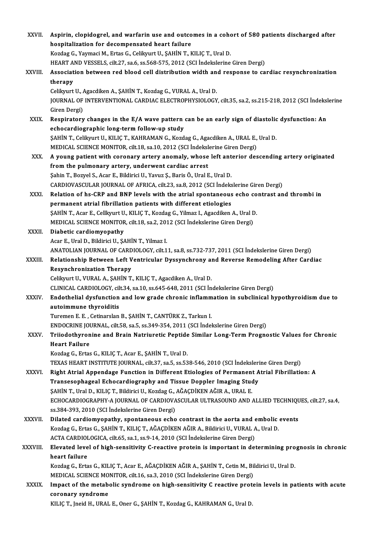| XXVII.        | Aspirin, clopidogrel, and warfarin use and outcomes in a cohort of 580 patients discharged after                                                          |
|---------------|-----------------------------------------------------------------------------------------------------------------------------------------------------------|
|               | hospitalization for decompensated heart failure                                                                                                           |
|               | Kozdag G., Yaymaci M., Ertas G., Celikyurt U., ŞAHİN T., KILIÇ T., Ural D.                                                                                |
|               | HEART AND VESSELS, cilt.27, sa.6, ss.568-575, 2012 (SCI Indekslerine Giren Dergi)                                                                         |
| XXVIII.       | Association between red blood cell distribution width and response to cardiac resynchronization                                                           |
|               | therapy                                                                                                                                                   |
|               | Celikyurt U., Agacdiken A., ŞAHİN T., Kozdag G., VURAL A., Ural D.                                                                                        |
|               | JOURNAL OF INTERVENTIONAL CARDIAC ELECTROPHYSIOLOGY, cilt.35, sa.2, ss.215-218, 2012 (SCI İndekslerine                                                    |
|               | Giren Dergi)                                                                                                                                              |
| XXIX.         | Respiratory changes in the E/A wave pattern can be an early sign of diastolic dysfunction: An                                                             |
|               | echocardiographic long-term follow-up study                                                                                                               |
|               | ŞAHİN T., Celikyurt U., KILIÇ T., KAHRAMAN G., Kozdag G., Agacdiken A., URAL E., Ural D.                                                                  |
|               | MEDICAL SCIENCE MONITOR, cilt.18, sa.10, 2012 (SCI İndekslerine Giren Dergi)                                                                              |
| XXX.          | A young patient with coronary artery anomaly, whose left anterior descending artery originated                                                            |
|               | from the pulmonary artery, underwent cardiac arrest                                                                                                       |
|               | Şahin T., Bozyel S., Acar E., Bildirici U., Yavuz Ş., Baris Ö., Ural E., Ural D.                                                                          |
|               | CARDIOVASCULAR JOURNAL OF AFRICA, cilt.23, sa.8, 2012 (SCI İndekslerine Giren Dergi)                                                                      |
| XXXI.         | Relation of hs-CRP and BNP levels with the atrial spontaneous echo contrast and thrombi in                                                                |
|               | permanent atrial fibrillation patients with different etiologies                                                                                          |
|               | ŞAHİN T., Acar E., Cellkyurt U., KILIÇ T., Kozdag G., Yilmaz I., Agacdiken A., Ural D.                                                                    |
|               | MEDICAL SCIENCE MONITOR, cilt.18, sa.2, 2012 (SCI İndekslerine Giren Dergi)                                                                               |
| XXXII.        | Diabetic cardiomyopathy                                                                                                                                   |
|               | Acar E., Ural D., Bildirici U., ŞAHİN T., Yilmaz I.                                                                                                       |
|               | ANATOLIAN JOURNAL OF CARDIOLOGY, cilt.11, sa.8, ss.732-737, 2011 (SCI İndekslerine Giren Dergi)                                                           |
| <b>XXXIII</b> | Relationship Between Left Ventricular Dyssynchrony and Reverse Remodeling After Cardiac                                                                   |
|               | <b>Resynchronization Therapy</b>                                                                                                                          |
|               | Celikyurt U., VURAL A., ŞAHİN T., KILIÇ T., Agacdiken A., Ural D.<br>CLINICAL CARDIOLOGY, cilt.34, sa.10, ss.645-648, 2011 (SCI İndekslerine Giren Dergi) |
| XXXIV.        | Endothelial dysfunction and low grade chronic inflammation in subclinical hypothyroidism due to                                                           |
|               | autoimmune thyroiditis                                                                                                                                    |
|               | Turemen E. E., Cetinarslan B., ŞAHİN T., CANTÜRK Z., Tarkun I.                                                                                            |
|               | ENDOCRINE JOURNAL, cilt.58, sa.5, ss.349-354, 2011 (SCI Indekslerine Giren Dergi)                                                                         |
| XXXV.         | Triiodothyronine and Brain Natriuretic Peptide Similar Long-Term Prognostic Values for Chronic                                                            |
|               | <b>Heart Failure</b>                                                                                                                                      |
|               | Kozdag G., Ertas G., KILIÇ T., Acar E., ŞAHİN T., Ural D.                                                                                                 |
|               | TEXAS HEART INSTITUTE JOURNAL, cilt.37, sa.5, ss.538-546, 2010 (SCI İndekslerine Giren Dergi)                                                             |
| XXXVI.        | Right Atrial Appendage Function in Different Etiologies of Permanent Atrial Fibrillation: A                                                               |
|               | Transesophageal Echocardiography and Tissue Doppler Imaging Study                                                                                         |
|               | ŞAHİN T., Ural D., KILIÇ T., Bildirici U., Kozdag G., AĞAÇDİKEN AĞIR A., URAL E.                                                                          |
|               | ECHOCARDIOGRAPHY-A JOURNAL OF CARDIOVASCULAR ULTRASOUND AND ALLIED TECHNIQUES, cilt.27, sa.4,                                                             |
|               | ss.384-393, 2010 (SCI İndekslerine Giren Dergi)                                                                                                           |
| XXXVII.       | Dilated cardiomyopathy, spontaneous echo contrast in the aorta and embolic events                                                                         |
|               | Kozdag G., Ertas G., ȘAHİN T., KILIÇ T., AĞAÇDİKEN AĞIR A., Bildirici U., VURAL A., Ural D.                                                               |
|               | ACTA CARDIOLOGICA, cilt.65, sa.1, ss.9-14, 2010 (SCI İndekslerine Giren Dergi)                                                                            |
| XXXVIII.      | Elevated level of high-sensitivity C-reactive protein is important in determining prognosis in chronic                                                    |
|               | heart failure                                                                                                                                             |
|               | Kozdag G., Ertas G., KILIÇ T., Acar E., AĞAÇDİKEN AĞIR A., ŞAHİN T., Cetin M., Bildirici U., Ural D.                                                      |
|               | MEDICAL SCIENCE MONITOR, cilt.16, sa.3, 2010 (SCI İndekslerine Giren Dergi)                                                                               |
| <b>XXXIX</b>  | Impact of the metabolic syndrome on high-sensitivity C reactive protein levels in patients with acute                                                     |
|               | coronary syndrome<br>KILIÇ T., Jneid H., URAL E., Oner G., ŞAHİN T., Kozdag G., KAHRAMAN G., Ural D.                                                      |
|               |                                                                                                                                                           |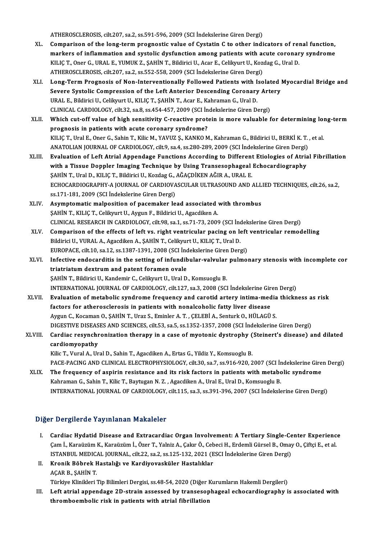ATHEROSCLEROSIS, cilt.207, sa.2, ss.591-596, 2009 (SCI İndekslerine Giren Dergi)

- ATHEROSCLEROSIS, cilt.207, sa.2, ss.591-596, 2009 (SCI İndekslerine Giren Dergi)<br>XL. Comparison of the long-term prognostic value of Cystatin C to other indicators of renal function,<br>markars of inflammation and systalis du ATHEROSCLEROSIS, cilt.207, sa.2, ss.591-596, 2009 (SCI İndekslerine Giren Dergi)<br>Comparison of the long-term prognostic value of Cystatin C to other indicators of renal function,<br>markers of inflammation and systolic dysfun Comparison of the long-term prognostic value of Cystatin C to other indicators of rei<br>markers of inflammation and systolic dysfunction among patients with acute coronar<br>KILIÇ T., Oner G., URAL E., YUMUK Z., ŞAHİN T., Bildi markers of inflammation and systolic dysfunction among patients with a<br>KILIÇ T., Oner G., URAL E., YUMUK Z., ŞAHİN T., Bildirici U., Acar E., Celikyurt U., Koz<br>ATHEROSCLEROSIS, cilt.207, sa.2, ss.552-558, 2009 (SCI İndeksl KILIÇ T., Oner G., URAL E., YUMUK Z., ŞAHİN T., Bildirici U., Acar E., Celikyurt U., Kozdag G., Ural D.<br>ATHEROSCLEROSIS, cilt.207, sa.2, ss.552-558, 2009 (SCI İndekslerine Giren Dergi)<br>XLI. Long-Term Prognosis of Non-I
- ATHEROSCLEROSIS, cilt.207, sa.2, ss.552-558, 2009 (SCI İndekslerine Giren Dergi)<br>Long-Term Prognosis of Non-Interventionally Followed Patients with Isolated |<br>Severe Systolic Compression of the Left Anterior Descending Cor Long-Term Prognosis of Non-Interventionally Followed Patients with I<br>Severe Systolic Compression of the Left Anterior Descending Coronary<br>URAL E., Bildirici U., Celikyurt U., KILIÇ T., ŞAHİN T., Acar E., Kahraman G., Ural Severe Systolic Compression of the Left Anterior Descending Coronary Art<br>URAL E., Bildirici U., Celikyurt U., KILIÇ T., ŞAHİN T., Acar E., Kahraman G., Ural D.<br>CLINICAL CARDIOLOGY, cilt.32, sa.8, ss.454-457, 2009 (SCI İnde URAL E., Bildirici U., Celikyurt U., KILIÇ T., ŞAHİN T., Acar E., Kahraman G., Ural D.<br>CLINICAL CARDIOLOGY, cilt.32, sa.8, ss.454-457, 2009 (SCI İndekslerine Giren Dergi)<br>XLII. Which cut-off value of high sensitivity C-rea
- CLINICAL CARDIOLOGY, cilt.32, sa.8, ss.454-457, 2009 (SCI In<br>Which cut-off value of high sensitivity C-reactive proto<br>prognosis in patients with acute coronary syndrome?<br>KU IC T. Ural E. Oper C. Sobin T. Kilia M. VAVUZ S. Which cut-off value of high sensitivity C-reactive protein is more valuable for determining loi<br>prognosis in patients with acute coronary syndrome?<br>KILIÇ T., Ural E., Oner G., Sahin T., Kilic M., YAVUZ Ş., KANKO M., Kahram prognosis in patients with acute coronary syndrome?<br>KILIÇ T., Ural E., Oner G., Sahin T., Kilic M., YAVUZ Ş., KANKO M., Kahraman G., Bildirici U., BERKİ K. T. , et al.<br>ANATOLIAN JOURNAL OF CARDIOLOGY, cilt.9, sa.4, ss.280-KILIÇ T., Ural E., Oner G., Sahin T., Kilic M., YAVUZ Ş., KANKO M., Kahraman G., Bildirici U., BERKİ K. T. , et al.<br>ANATOLIAN JOURNAL OF CARDIOLOGY, cilt9, sa.4, ss.280-289, 2009 (SCI İndekslerine Giren Dergi)<br>XLIII. Evalu
- ANATOLIAN JOURNAL OF CARDIOLOGY, cilt.9, sa.4, ss.280-289, 2009 (SCI İndekslerine Giren Dergi)<br>Evaluation of Left Atrial Appendage Functions According to Different Etiologies of Atria<br>with a Tissue Doppler Imaging Techniqu Evaluation of Left Atrial Appendage Functions According to Different<br>with a Tissue Doppler Imaging Technique by Using Transesophageal<br>ŞAHİN T., Ural D., KILIÇ T., Bildirici U., Kozdag G., AĞAÇDİKEN AĞIR A., URAL E.<br>ECHOCAR with a Tissue Doppler Imaging Technique by Using Transesophageal Echocardiography<br>\$AHİN T., Ural D., KILIÇ T., Bildirici U., Kozdag G., AĞAÇDİKEN AĞIR A., URAL E.<br>ECHOCARDIOGRAPHY-A JOURNAL OF CARDIOVASCULAR ULTRASOUND AND ŞAHİN T., Ural D., KILIÇ T., Bildirici U., Kozdag G., AĞAÇDİKEN AĞIR A., URAL E.
- XLIV. Asymptomaticmalposition of pacemaker lead associated with thrombus ŞAHİNT.,KILIÇT.,CelikyurtU.,AygunF.,BildiriciU.,AgacdikenA. CLINICALRESEARCHINCARDIOLOGY, cilt.98, sa.1, ss.71-73,2009 (SCI İndekslerineGirenDergi)
- XLV. Comparison of the effects of left vs. right ventricular pacing on left ventricular remodel ing Bildirici U., VURAL A., Agacdiken A., ŞAHİN T., Celikyurt U., KILIÇ T., Ural D. EUROPACE, cilt.10, sa.12, ss.1387-1391, 2008 (SCI İndekslerine Giren Dergi) Bildirici U., VURAL A., Agacdiken A., ŞAHİN T., Celikyurt U., KILIÇ T., Ural D.<br>EUROPACE, cilt.10, sa.12, ss.1387-1391, 2008 (SCI İndekslerine Giren Dergi)<br>XLVI. Infective endocarditis in the setting of infundibular-valvul
- EUROPACE, cilt.10, sa.12, ss.1387-1391, 2008 (SCI Ind<br>Infective endocarditis in the setting of infundib<br>triatriatum dextrum and patent foramen ovale<br>SAHIN T. Bildirisi II, Kandamir C. Coliburat II, Ural D. Infective endocarditis in the setting of infundibular-valvular<br>triatriatum dextrum and patent foramen ovale<br>ŞAHİN T., Bildirici U., Kandemir C., Celikyurt U., Ural D., Komsuoglu B.<br>INTERNATIONAL JOURNAL OF CARDIOLOCY, silt triatriatum dextrum and patent foramen ovale<br>ŞAHİN T., Bildirici U., Kandemir C., Celikyurt U., Ural D., Komsuoglu B.<br>INTERNATIONAL JOURNAL OF CARDIOLOGY, cilt.127, sa.3, 2008 (SCI İndekslerine Giren Dergi) SAHİN T., Bildirici U., Kandemir C., Celikyurt U., Ural D., Komsuoglu B.<br>INTERNATIONAL JOURNAL OF CARDIOLOGY, cilt.127, sa.3, 2008 (SCI İndekslerine Giren Dergi)<br>XLVII. Evaluation of metabolic syndrome frequency and ca
- INTERNATIONAL JOURNAL OF CARDIOLOGY, cilt.127, sa.3, 2008 (SCI indekslerine Gir<br>Evaluation of metabolic syndrome frequency and carotid artery intima-med<br>factors for atherosclerosis in patients with nonalcoholic fatty liver Evaluation of metabolic syndrome frequency and carotid artery intima-media<br>factors for atherosclerosis in patients with nonalcoholic fatty liver disease<br>Aygun C., Kocaman O., ŞAHİN T., Uraz S., Eminler A. T. , ÇELEBİ A., S factors for atherosclerosis in patients with nonalcoholic fatty liver disease<br>Aygun C., Kocaman O., ŞAHİN T., Uraz S., Eminler A. T. , ÇELEBİ A., Senturk O., HÜLAGÜ S.<br>DIGESTIVE DISEASES AND SCIENCES, cilt.53, sa.5, ss.135 Aygun C., Kocaman O., ŞAHİN T., Uraz S., Eminler A. T. , ÇELEBİ A., Senturk O., HÜLAGÜ S.<br>DIGESTIVE DISEASES AND SCIENCES, cilt.53, sa.5, ss.1352-1357, 2008 (SCI İndekslerine Giren Dergi)<br>XLVIII. Cardiac resynchronizat

# DIGESTIVE DISEAS<br>Cardiac resynch<br>cardiomyopathy<br><sup>Kilio</sup>T, Vural A, Un Cardiac resynchronization therapy in a case of myotonic dystrophy (<br>cardiomyopathy<br>Kilic T., Vural A., Ural D., Sahin T., Agacdiken A., Ertas G., Yildiz Y., Komsuoglu B.<br>BACE BACING AND GLINICAL ELECTROPHYSIOLOGY, silt 20, cardiomyopathy<br>Kilic T., Vural A., Ural D., Sahin T., Agacdiken A., Ertas G., Yildiz Y., Komsuoglu B.<br>PACE-PACING AND CLINICAL ELECTROPHYSIOLOGY, cilt.30, sa.7, ss.916-920, 2007 (SCI İndekslerine Giren Dergi)

XLIX. The frequency of aspirin resistance and its risk factors in patients withmetabolic syndrome

Kahraman G., Sahin T., Kilic T., Baytugan N.Z., Agacdiken A., Ural E., Ural D., Komsuoglu B. INTERNATIONAL JOURNALOF CARDIOLOGY, cilt.115, sa.3, ss.391-396,2007 (SCI İndekslerineGirenDergi)

# Diğer Dergilerde Yayınlanan Makaleler

- Iger Dergilerde Yayınlanan Makaleler<br>I. Cardiac Hydatid Disease and Extracardiac Organ Involvement: A Tertiary Single-Center Experience<br>Cam L Karaüzüm K. Karaüzüm L Özer T. Valnis A. Celar Ö. Cebasi H. Erdamli Gürsel B. Om r Bergherde Tay Inlandir Makareler<br>Cardiac Hydatid Disease and Extracardiac Organ Involvement: A Tertiary Single-Center Experienc<br>Cam İ., Karaüzüm K., Karaüzüm İ., Özer T., Yalniz A., Çakır Ö., Cebeci H., Erdemli Gürsel B. Cardiac Hydatid Disease and Extracardiac Organ Involvement: A Tertiary Single-Ce<br>Çam İ., Karaüzüm K., Karaüzüm İ., Özer T., Yalniz A., Çakır Ö., Cebeci H., Erdemli Gürsel B., Omay<br>ISTANBUL MEDICAL JOURNAL, cilt.22, sa.2, s Çam İ., Karaüzüm K., Karaüzüm İ., Özer T., Yalniz A., Çakır Ö., Cebeci H., Erdemli Gürsel B., Omay O., Çiftçi E., et al.<br>ISTANBUL MEDICAL JOURNAL, cilt.22, sa.2, ss.125-132, 2021 (ESCI İndekslerine Giren Dergi)<br>**Kronik Böb**
- II. Kronik Böbrek Hastalığı ve Kardiyovasküler Hastalıklar Kronik Böbrek Hastalığı ve Kardiyovasküler Hastalıklar<br>AÇAR B., ŞAHİN T.<br>Türkiye Klinikleri Tip Bilimleri Dergisi, ss.48-54, 2020 (Diğer Kurumların Hakemli Dergileri)<br>Left atrial annendage 2D strain assessed bu transesanha

III. Left atrial appendage 2D-strain assessed by transesophageal echocardiography is associated with thromboembolic risk in patients with atrial fibrillation Türkiye Klinikleri Tip Bilimleri Dergisi, ss.48-54, 2020 (Diğer I<br>Left atrial appendage 2D-strain assessed by transesop<br>thromboembolic risk in patients with atrial fibrillation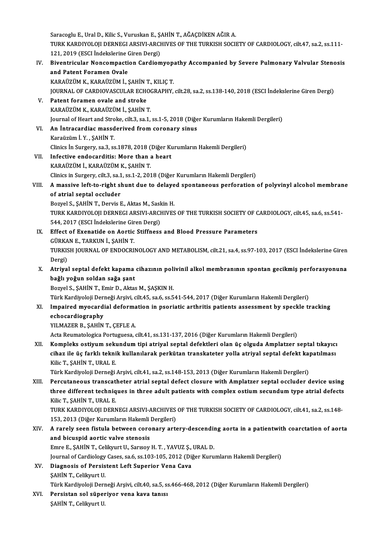Saracoglu E., Ural D., Kilic S., Vuruskan E., ŞAHİN T., AĞAÇDİKEN AĞIR A. Saracoglu E., Ural D., Kilic S., Vuruskan E., ŞAHİN T., AĞAÇDİKEN AĞIR A.<br>TURK KARDIYOLOJI DERNEGI ARSIVI-ARCHIVES OF THE TURKISH SOCIETY OF CARDIOLOGY, cilt.47, sa.2, ss.111-<br>121, 2010 (ESCL İndekalerine Ciren Dergi) Saracoglu E., Ural D., Kilic S., Vuruskan E., Ş.<br>TURK KARDIYOLOJI DERNEGI ARSIVI-ARCI<br>121, 2019 (ESCI İndekslerine Giren Dergi)<br>Biyontriqular Nongarmastian Cardiar TURK KARDIYOLOJI DERNEGI ARSIVI-ARCHIVES OF THE TURKISH SOCIETY OF CARDIOLOGY, cilt.47, sa.2, ss.111-<br>121, 2019 (ESCI İndekslerine Giren Dergi)<br>IV. Biventricular Noncompaction Cardiomyopathy Accompanied by Severe Pulmonary

121, 2019 (ESCI İndekslerine (<br>Biventricular Noncompacti<br>and Patent Foramen Ovale<br>KARAÜZÜM K. KARAÜZÜM İ. ( Biventricular Noncompaction Cardiomyop<br>and Patent Foramen Ovale<br>KARAÜZÜM K., KARAÜZÜM İ., ŞAHİN T., KILIÇ T.<br>JOUPNAL OF CAPDJOVASCULAP FCHOCPAPHY and Patent Foramen Ovale<br>KARAÜZÜM K., KARAÜZÜM İ., ŞAHİN T., KILIÇ T.<br>JOURNAL OF CARDIOVASCULAR ECHOGRAPHY, cilt.28, sa.2, ss.138-140, 2018 (ESCI İndekslerine Giren Dergi)<br>Patent foramen avale and streke KARAÜZÜM K., KARAÜZÜM İ., ŞAHİN 1<br>JOURNAL OF CARDIOVASCULAR ECHO<br>V. Patent foramen ovale and stroke<br>KARAÜZÜM K. KARAÜZÜM İ. SAHİN 1 JOURNAL OF CARDIOVASCULAR ECHOON<br>Patent foramen ovale and stroke<br>KARAÜZÜM K., KARAÜZÜM İ., ŞAHİN T. Patent foramen ovale and stroke<br>KARAÜZÜM K., KARAÜZÜM İ., ŞAHİN T.<br>Journal of Heart and Stroke, cilt.3, sa.1, ss.1-5, 2018 (Diğer Kurumların Hakemli Dergileri)<br>An İntragardias masadəriyad from soronary sinus. KARAÜZÜM K., KARAÜZÜM İ., ŞAHİN T.<br>Journal of Heart and Stroke, cilt.3, sa.1, ss.1-5, 2018 (Diğe<br>VI. An İntracardiac massderived from coronary sinus<br>Karaüzüm İ. V. SAHİN T. Journal of Heart and Stro<br>**An İntracardiac massd<br>Karaüzüm İ. Y. , ŞAHİN T.**<br>Clinice İn Surgerw, çe <sup>3</sup>. çe An İntracardiac massderived from coronary sinus<br>Karaüzüm İ. Y. , ŞAHİN T.<br>Clinics İn Surgery, sa.3, ss.1878, 2018 (Diğer Kurumların Hakemli Dergileri)<br>Infactive endesarditis: More than a beart Karaüzüm İ. Y. , ŞAHİN T.<br>Clinics İn Surgery, sa.3, ss.1878, 2018 (Diğer Ku<br>VII. Infective endocarditis: More than a heart<br>KARAÜZÜM İ.. KARAÜZÜM K.. SAHİN T. Clinics İn Surgery, sa.3, ss.1878, 2018 (<br>Infective endocarditis: More than<br>KARAÜZÜM İ., KARAÜZÜM K., ŞAHİN T. Clinics in Surgery, cilt.3, sa.1, ss.1-2, 2018 (Diğer Kurumların Hakemli Dergileri) KARAÜZÜM İ., KARAÜZÜM K., ŞAHİN T.<br>Clinics in Surgery, cilt.3, sa.1, ss.1-2, 2018 (Diğer Kurumların Hakemli Dergileri)<br>VIII. A massive left-to-right shunt due to delayed spontaneous perforation of polyvinyl alcohol mem Clinics in Surgery, cilt.3, sa.1<br>A massive left-to-right sl<br>of atrial septal occluder<br>Bowel S. SAHIN T. Dowis L A massive left-to-right shunt due to delaye<br>of atrial septal occluder<br>Bozyel S., ŞAHİN T., Dervis E., Aktas M., Saskin H.<br>TURK KARDIYOLOU DERNECLARSIYLARGUIYES of atrial septal occluder<br>Bozyel S., ŞAHİN T., Dervis E., Aktas M., Saskin H.<br>TURK KARDIYOLOJI DERNEGI ARSIVI-ARCHIVES OF THE TURKISH SOCIETY OF CARDIOLOGY, cilt.45, sa.6, ss.541-<br>544, 2017 (ESCL İndekalerine Ciren Dergi) Bozyel S., ŞAHİN T., Dervis E., Aktas M., Sask<br>TURK KARDIYOLOJI DERNEGI ARSIVI-ARCI<br>544, 2017 (ESCI İndekslerine Giren Dergi)<br>Effect of Exenatide an Aartis Stiffness TURK KARDIYOLOJI DERNEGI ARSIVI-ARCHIVES OF THE TURKISH SOCIETY OF C<br>544, 2017 (ESCI Indekslerine Giren Dergi)<br>IX. Effect of Exenatide on Aortic Stiffness and Blood Pressure Parameters<br>CUPKANE TARKINJ 5 SAHINT 544, 2017 (ESCI İndekslerine Giren Dergi)<br>IX. Effect of Exenatide on Aortic Stiffness and Blood Pressure Parameters<br>GÜRKAN E., TARKUN İ., ŞAHİN T. Effect of Exenatide on Aortic Stiffness and Blood Pressure Parameters<br>GÜRKAN E., TARKUN İ., ŞAHİN T.<br>TURKISH JOURNAL OF ENDOCRINOLOGY AND METABOLISM, cilt.21, sa.4, ss.97-103, 2017 (ESCI İndekslerine Giren<br>Persi) GÜRKA<br>TURKIS<br>Dergi)<br>Atrive TURKISH JOURNAL OF ENDOCRINOLOGY AND METABOLISM, cilt.21, sa.4, ss.97-103, 2017 (ESCI İndekslerine Giren<br>Dergi)<br>X. Atriyal septal defekt kapama cihazının polivinil alkol membranının spontan gecikmiş perforasyonuna<br>hağlı ve Dergi)<br>Atriyal septal defekt kapama<br>bağlı yoğun soldan sağa şant<br>Bozvel S. SAHİN T. Emir D. Akta Atriyal septal defekt kapama cihazının poli<br>bağlı yoğun soldan sağa şant<br>Bozyel S., ŞAHİN T., Emir D., Aktas M., ŞAŞKIN H.<br>Türk Kardiyaleji Derneği Arsiyi, silt 45, se 6, se 5 ba<mark>ğlı yoğun soldan sağa şant</mark><br>Bozyel S., ŞAHİN T., Emir D., Aktas M., ŞAŞKIN H.<br>Türk Kardiyoloji Derneği Arşivi, cilt.45, sa.6, ss.541-544, 2017 (Diğer Kurumların Hakemli Dergileri)<br>Imnained muogardial deformation in neor Bozyel S., ŞAHİN T., Emir D., Aktas M., ŞAŞKIN H.<br>Türk Kardiyoloji Derneği Arşivi, cilt.45, sa.6, ss.541-544, 2017 (Diğer Kurumların Hakemli Dergileri)<br>XI. Impaired myocardial deformation in psoriatic arthritis patients as Türk Kardiyoloji Deri<br>I<mark>mpaired myocard</mark>i<br>echocardiography<br><sup>VII MAZER B. SAHİN</sup> YILMAZER B., ŞAHİN T., ÇEFLE A. Acta Reumatologica Portuguesa, cilt.41, ss.131-137, 2016 (Diğer Kurumların Hakemli Dergileri) XILMAZER B., ŞAHİN T., ÇEFLE A.<br>Acta Reumatologica Portuguesa, cilt.41, ss.131-137, 2016 (Diğer Kurumların Hakemli Dergileri)<br>XII. Kompleks ostiyum sekundum tipi atriyal septal defektleri olan üç olguda Amplatzer septa Acta Reumatologica Portuguesa, cilt.41, ss.131-137, 2016 (Diğer Kurumların Hakemli Dergileri)<br>Kompleks ostiyum sekundum tipi atriyal septal defektleri olan üç olguda Amplatzer septal tıkayıcı<br>cihaz ile üç farklı teknik kul Kompleks ostiyum sek<mark>t</mark><br>cihaz ile üç farklı tekni<br>Kilic T., ŞAHİN T., URAL E.<br>Türk Kondiveleji Denneği cihaz ile üç farklı teknik kullanılarak perkütan transkateter yolla atriyal septal defekt kapatılması<br>Kilic T., ŞAHİN T., URAL E.<br>Türk Kardiyoloji Derneği Arşivi, cilt.41, sa.2, ss.148-153, 2013 (Diğer Kurumların Hakemli D Kilic T., ŞAHİN T., URAL E.<br>Türk Kardiyoloji Derneği Arşivi, cilt.41, sa.2, ss.148-153, 2013 (Diğer Kurumların Hakemli Dergileri)<br>XIII. Percutaneous transcatheter atrial septal defect closure with Amplatzer septal occl Türk Kardiyoloji Derneği Arşivi, cilt.41, sa.2, ss.148-153, 2013 (Diğer Kurumların Hakemli Dergileri)<br>Percutaneous transcatheter atrial septal defect closure with Amplatzer septal occluder device using<br>three different tech **Percutaneous transcat<br>three different techniq<br>Kilic T., ŞAHİN T., URAL E.<br>TURK KARDIYOLOU DERN** three different techniques in three adult patients with complex ostium secundum type atrial defects<br>Kilic T., ŞAHİN T., URAL E.<br>TURK KARDIYOLOJI DERNEGI ARSIVI-ARCHIVES OF THE TURKISH SOCIETY OF CARDIOLOGY, cilt.41, sa.2, Kilic T., ŞAHİN T., URAL E.<br>TURK KARDIYOLOJI DERNEGI ARSIVI-ARCHIVES<br>153, 2013 (Diğer Kurumların Hakemli Dergileri)<br>A raroly seen fistula betyeen serenary art TURK KARDIYOLOJI DERNEGI ARSIVI-ARCHIVES OF THE TURKISH SOCIETY OF CARDIOLOGY, cilt.41, sa.2, ss.148-<br>153, 2013 (Diğer Kurumların Hakemli Dergileri)<br>XIV. A rarely seen fistula between coronary artery-descending aorta i 153, 2013 (Diğer Kurumların Hakemli)<br>A rarely seen fistula between coro<br>and bicuspid aortic valve stenosis A rarely seen fistula between coronary artery-descendin<br>and bicuspid aortic valve stenosis<br>Emre E., ŞAHİN T., Celikyurt U., Sarısoy H.T. , YAVUZ Ş., URAL D.<br>Journal of Cardialagu Caees sa 6, sa 103, 105, 2012 (Dižer Kuru and bicuspid aortic valve stenosis<br>Journal of Cardiology Cases, sa.6, ss.103-105, 2012 (Diğer Kurumların Hakemli Dergileri)<br>Journal of Cardiology Cases, sa.6, ss.103-105, 2012 (Diğer Kurumların Hakemli Dergileri) XV. Diagnosis of Persistent Left Superior Vena Cava ŞAHİNT, Celikyurt U. Türk Kardiyoloji Derneği Arşivi, cilt.40, sa.5, ss.466-468, 2012 (Diğer Kurumların Hakemli Dergileri) \$AHİN T., Celikyurt U.<br>Türk Kardiyoloji Derneği Arşivi, cilt.40, sa.5, ss.<br>XVI. Persistan sol süperiyor vena kava tanısı Türk Kardiyoloji Derı<br><mark>Persistan sol süpeı</mark><br>ŞAHİN T., Celikyurt U.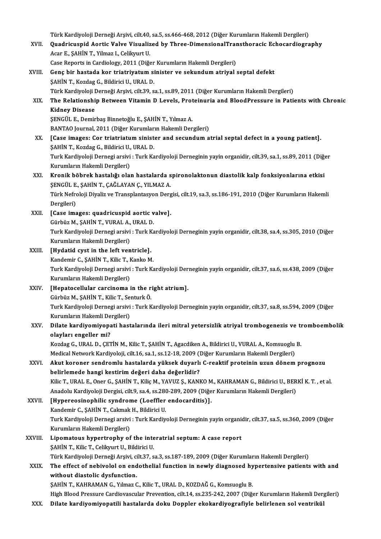Türk Kardiyoloji Derneği Arşivi, cilt.40, sa.5, ss.466-468, 2012 (Diğer Kurumların Hakemli Dergileri)<br>Quadrisusnid Aartis Valve Visualized by Three DimensionalTransthanasis Esbesandiasıs

- Türk Kardiyoloji Derneği Arşivi, cilt.40, sa.5, ss.466-468, 2012 (Diğer Kurumların Hakemli Dergileri)<br>XVII. Quadricuspid Aortic Valve Visualized by Three-DimensionalTransthoracic Echocardiography Türk Kardiyoloji Derneği Arşivi, cilt.40,<br>Quadricuspid Aortic Valve Visualiz<br>Acar E., ŞAHİN T., Yilmaz I., Celikyurt U.<br>Cese Benerta in Cerdialegy, 2011 (Diž. Quadricuspid Aortic Valve Visualized by Three-DimensionalTransthoracic Echocardiography<br>Acar E., SAHİN T., Yilmaz I., Celikyurt U. Case Reports in Cardiology, 2011 (Diğer Kurumların Hakemli Dergileri)
- XVIII. Genç bir hastada kor triatriyatum sinister ve sekundum atriyal septal defekt<br>ŞAHİN T., Kozdag G., Bildirici U., URAL D. Genç bir hastada kor triatriyatum sinister ve sekundum atriyal septal defekt<br>ŞAHİN T., Kozdag G., Bildirici U., URAL D.<br>Türk Kardiyoloji Derneği Arşivi, cilt.39, sa.1, ss.89, 2011 (Diğer Kurumların Hakemli Dergileri)<br>The B XIX. The Relationship Between Vitamin D Levels, Proteinuria and BloodPressure in Patients with Chronic Türk Kardiyoloji I<br><mark>The Relationshi</mark><br>Kidney Disease<br>SENCÜL E Demir ŞENGÜL E., Demirbaş Binnetoğlu E., ŞAHİN T., Yılmaz A. BANTAO Journal, 2011 (Diğer Kurumların Hakemli Dergileri) XX. [Case images: Cor triatriatum sinister and secundum atrial septal defect in a young patient]. ŞAHİNT.,KozdagG.,BildiriciU.,URALD. [Case images: Cor triatriatum sinister and secundum atrial septal defect in a young patient].<br>ŞAHİN T., Kozdag G., Bildirici U., URAL D.<br>Turk Kardiyoloji Dernegi arsivi : Turk Kardiyoloji Derneginin yayin organidir, cilt.3 ŞAHİN T., Kozdag G., Bildirici U.,<br>Turk Kardiyoloji Dernegi arsivi<br>Kurumların Hakemli Dergileri)<br>Knonik böhnek bestelığı olal Turk Kardiyoloji Dernegi arsivi : Turk Kardiyoloji Derneginin yayin organidir, cilt.39, sa.1, ss.89, 2011 (Diğ<br>Kurumların Hakemli Dergileri)<br>XXI. Kronik böbrek hastalığı olan hastalarda spironolaktonun diastolik kalp fonks Kurumların Hakemli Dergileri)<br>Kronik böbrek hastalığı olan hastalarda spironolaktonun diastolik kalp fonksiyonlarına etkisi Türk Nefroloji Diyaliz ve Transplantasyon Dergisi, cilt.19, sa.3, ss.186-191, 2010 (Diğer Kurumların Hakemli Dergileri) ŞENGÜL E., ŞAHİN T., ÇAĞLAYAN Ç., YILMAZ A. Türk Nefroloji Diyaliz ve Transplantasyon Derg<br>Dergileri)<br>XXII. [Case images: quadricuspid aortic valve].<br>Cürküz M. SAHİN T. VURALA, URALD. Dergileri)<br>[Case images: quadricuspid aortic v<br>Gürbüz M., ŞAHİN T., VURAL A., URAL D.<br>Turk Kardiveleji Dernegi arşiyi : Turk Ke Turk Kardiyoloji Dernegi arsivi : Turk Kardiyoloji Derneginin yayin organidir, cilt.38, sa.4, ss.305, 2010 (Diğer<br>Kurumların Hakemli Dergileri) Gürbüz M., ŞAHİN T., VURAL A., URAL D. Turk Kardiyoloji Dernegi arsivi : Turk K<br>Kurumların Hakemli Dergileri)<br>XXIII. [Hydatid cyst in the left ventricle].<br>Kandomir G. SAHİN T. Kilis T. Kanko M Kurumların Hakemli Dergileri)<br>[Hydatid cyst in the left ventricle].<br>Kandemir C., ŞAHİN T., Kilic T., Kanko M.<br>Turk Kardiveleji Dernegi arşiyi : Turk Ke Turk Kardiyoloji Dernegi arsivi : Turk Kardiyoloji Derneginin yayin organidir, cilt.37, sa.6, ss.438, 2009 (Diğer<br>Kurumların Hakemli Dergileri) Kandemir C., ŞAHİN T., Kilic T., Kanko M. XXIV. [Hepatocellular carcinoma in the right atrium]. Kurumların Hakemli Dergileri)<br>[Hepatocellular carcinoma in the r<br>Gürbüz M., ŞAHİN T., Kilic T., Senturk Ö.<br>Turk Kardivalaji Dernesi ərəiyi : Turk K Turk Kardiyoloji Dernegi arsivi : Turk Kardiyoloji Derneginin yayin organidir, cilt.37, sa.8, ss.594, 2009 (Diğer<br>Kurumların Hakemli Dergileri) Gürbüz M., ŞAHİN T., Kilic T., Sei<br>Turk Kardiyoloji Dernegi arsivi<br>Kurumların Hakemli Dergileri)<br>Dilate kandiyemiyeneti, best Turk Kardiyoloji Dernegi arsivi : Turk Kardiyoloji Derneginin yayin organidir, cilt.37, sa.8, ss.594, 2009 (Diğer<br>Kurumların Hakemli Dergileri)<br>XXV. Dilate kardiyomiyopati hastalarında ileri mitral yetersizlik atriyal trom Kurumların Hakemli De<br>Dilate kardiyomiyopa<br>olayları engeller mi?<br>Kordes G. UPAL D. GET Dilate kardiyomiyopati hastalarında ileri mitral yetersizlik atriyal trombogenezis ve tı<br>olayları engeller mi?<br>Kozdag G., URAL D., ÇETİN M., Kilic T., ŞAHİN T., Agacdiken A., Bildirici U., VURAL A., Komsuoglu B.<br>Medisəl Ne olayları engeller mi?<br>Kozdag G., URAL D., ÇETİN M., Kilic T., ŞAHİN T., Agacdiken A., Bildirici U., VURAL A., Komsuoglu B. XXVI. Akut koroner sendromlu hastalarda yüksek duyarlı C-reaktif proteinin uzun dönem prognozu<br>belirlemede hangi kestirim değeri daha değerlidir? Medical Network Kardiyoloji, cilt.16, sa.1, ss.12-18, 2009 (Diğer Kurumların Hakemli Dergileri) Akut koroner sendromlu hastalarda yüksek duyarlı C-reaktif proteinin uzun dönem prognozu<br>belirlemede hangi kestirim değeri daha değerlidir?<br>Kilic T., URAL E., Oner G., ŞAHİN T., Kiliç M., YAVUZ Ş., KANKO M., KAHRAMAN G., B belirlemede hangi kestirim değeri daha değerlidir?<br>Kilic T., URAL E., Oner G., ŞAHİN T., Kiliç M., YAVUZ Ş., KANKO M., KAHRAMAN G., Bildirici U., BER<br>Anadolu Kardiyoloji Dergisi, cilt.9, sa.4, ss.280-289, 2009 (Diğer Kurum Kilic T., URAL E., Oner G., ŞAHİN T., Kiliç M., YAVUZ Ş., KANKO M<br>Anadolu Kardiyoloji Dergisi, cilt.9, sa.4, ss.280-289, 2009 (Diğe<br>XXVII. [Hypereosinophilic syndrome (Loeffler endocarditis)].<br>Kandomir C. SAHİN T. Colm Anadolu Kardiyoloji Dergisi, cilt.9, sa.4, ss.28<br>[Hypereosinophilic syndrome (Loeffler<br>Kandemir C., ŞAHİN T., Cakmak H., Bildirici U.<br>Turk Kardiyaloji Dernesi arsiyi : Turk Kardiy [Hypereosinophilic syndrome (Loeffler endocarditis)].<br>Kandemir C., ŞAHİN T., Cakmak H., Bildirici U.<br>Turk Kardiyoloji Dernegi arsivi : Turk Kardiyoloji Derneginin yayin organidir, cilt.37, sa.5, ss.360, 2009 (Diğer<br>Kurumla Kandemir C., ŞAHİN T., Cakmak<br>Turk Kardiyoloji Dernegi arsivi<br>Kurumların Hakemli Dergileri)<br>Linemateus bunertrenbu ef Turk Kardiyoloji Dernegi arsivi : Turk Kardiyoloji Derneginin yayin organi<br>Kurumların Hakemli Dergileri)<br>XXVIII. Lipomatous hypertrophy of the interatrial septum: A case report<br>SAHİN T. Kilia T. Colibrust U. Bildiyisi U. Kurumların Hakemli Dergileri)<br>Lipomatous hypertrophy of the interatrial septum: A case report<br>SAHİN T., Kilic T., Celikyurt U., Bildirici U. Türk Kardiyoloji Derneği Arşivi, cilt.37, sa.3, ss.187-189, 2009 (Diğer Kurumların Hakemli Dergileri) \$AHİN T., Kilic T., Celikyurt U., Bildirici U.<br>Türk Kardiyoloji Derneği Arşivi, cilt.37, sa.3, ss.187-189, 2009 (Diğer Kurumların Hakemli Dergileri)<br>XXIX. The effect of nebivolol on endothelial function in newly diagno Türk Kardiyoloji Derneği Arşivi, ci<br>The effect of nebivolol on end<br>without diastolic dysfunction.<br>SAHİN T. KAHRAMAN G. Vilmaz G The effect of nebivolol on endothelial function in newly diagnosed hy<br>without diastolic dysfunction.<br>ŞAHİN T., KAHRAMAN G., Yılmaz C., Kilic T., URAL D., KOZDAĞ G., Komsuoglu B.<br>High Blood Pressure Cardiayassular Preyentio without diastolic dysfunction.<br>ŞAHİN T., KAHRAMAN G., Yılmaz C., Kilic T., URAL D., KOZDAĞ G., Komsuoglu B.<br>High Blood Pressure Cardiovascular Prevention, cilt.14, ss.235-242, 2007 (Diğer Kurumların Hakemli Dergileri)
	- XXX. Dilate kardiyomiyopatili hastalarda doku Doppler ekokardiyografiyle belirlenen sol ventrikül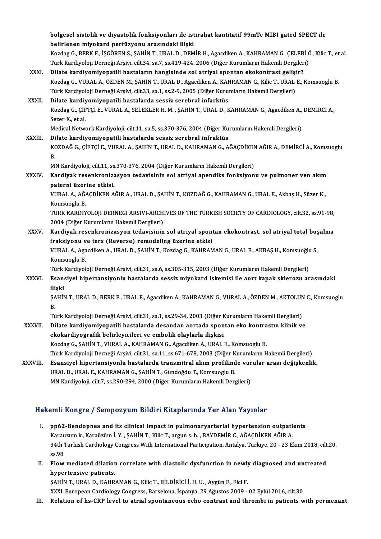|              | bölgesel sistolik ve diyastolik fonksiyonları ile istirahat kantitatif 99mTc MIBI gated SPECT ile                                                                                                                            |
|--------------|------------------------------------------------------------------------------------------------------------------------------------------------------------------------------------------------------------------------------|
|              | belirlenen miyokard perfüzyonu arasındaki ilişki                                                                                                                                                                             |
|              | Kozdag G., BERK F., İŞGÖREN S., ŞAHİN T., URAL D., DEMİR H., Agacdiken A., KAHRAMAN G., ÇELEBİ Ö., Kilic T., et al.<br>Türk Kardiyoloji Derneği Arşivi, cilt.34, sa.7, ss.419-424, 2006 (Diğer Kurumların Hakemli Dergileri) |
| XXXI.        | Dilate kardiyomiyopatili hastaların hangisinde sol atriyal spontan ekokontrast gelişir?                                                                                                                                      |
|              | Kozdag G., VURAL A., ÖZDEN M., ŞAHİN T., URAL D., Agacdiken A., KAHRAMAN G., Kilic T., URAL E., Komsuoglu B.                                                                                                                 |
|              | Türk Kardiyoloji Derneği Arşivi, cilt.33, sa.1, ss.2-9, 2005 (Diğer Kurumların Hakemli Dergileri)                                                                                                                            |
| XXXII.       | Dilate kardiyomiyopatili hastalarda sessiz serebral infarktüs                                                                                                                                                                |
|              | Kozdag G., ÇİFTÇİ E., VURAL A., SELEKLER H. M., ŞAHİN T., URAL D., KAHRAMAN G., Agacdiken A., DEMİRCİ A.,<br>Sezer K., et al.                                                                                                |
|              | Medical Network Kardiyoloji, cilt.11, sa.5, ss.370-376, 2004 (Diğer Kurumların Hakemli Dergileri)                                                                                                                            |
| XXXIII.      | Dilate kardiyomiyopatili hastalarda sessiz serebral infraktüs                                                                                                                                                                |
|              | KOZDAĞ G., ÇİFTÇİ E., VURAL A., ŞAHİN T., URAL D., KAHRAMAN G., AĞAÇDİKEN AĞIR A., DEMİRCİ A., Komsuoglu<br>B.                                                                                                               |
|              | MN Kardiyoloji, cilt.11, ss.370-376, 2004 (Diğer Kurumların Hakemli Dergileri)                                                                                                                                               |
| <b>XXXIV</b> | Kardiyak resenkronizasyon tedavisinin sol atriyal apendiks fonksiyonu ve pulmoner ven akım                                                                                                                                   |
|              | paterni üzerine etkisi.                                                                                                                                                                                                      |
|              | VURAL A., AĞAÇDİKEN AĞIR A., URAL D., ŞAHİN T., KOZDAĞ G., KAHRAMAN G., URAL E., Akbaş H., Süzer K.,                                                                                                                         |
|              | Komsuoglu B.                                                                                                                                                                                                                 |
|              | TURK KARDIYOLOJI DERNEGI ARSIVI-ARCHIVES OF THE TURKISH SOCIETY OF CARDIOLOGY, cilt.32, ss.91-98,                                                                                                                            |
|              | 2004 (Diğer Kurumların Hakemli Dergileri)                                                                                                                                                                                    |
| XXXV.        | Kardiyak resenkronizasyon tedavisinin sol atriyal spontan ekokontrast, sol atriyal total boşalma                                                                                                                             |
|              | fraksiyonu ve ters (Reverse) remodeling üzerine etkisi                                                                                                                                                                       |
|              | VURAL A., Agacdiken A., URAL D., ŞAHİN T., Kozdag G., KAHRAMAN G., URAL E., AKBAŞ H., Komsuoğlu S.,                                                                                                                          |
|              | Komsuoglu B.                                                                                                                                                                                                                 |
|              | Türk Kardiyoloji Derneği Arşivi, cilt.31, sa.6, ss.305-315, 2003 (Diğer Kurumların Hakemli Dergileri)                                                                                                                        |
| <b>XXXVI</b> | Esansiyel hipertansiyonlu hastalarda sessiz miyokard iskemisi ile aort kapak sklerozu arasındaki<br>ilişki                                                                                                                   |
|              | ŞAHİN T., URAL D., BERK F., URAL E., Agacdiken A., KAHRAMAN G., VURAL A., ÖZDEN M., AKTOLUN C., Komsuoglu<br>В.                                                                                                              |
|              | Türk Kardiyoloji Derneği Arşivi, cilt.31, sa.1, ss.29-34, 2003 (Diğer Kurumların Hakemli Dergileri)                                                                                                                          |
| XXXVII.      | Dilate kardiyomiyopatili hastalarda desandan aortada spontan eko kontrastın klinik ve                                                                                                                                        |
|              | ekokardiyografik belirleyicileri ve embolik olaylarla ilişkisi                                                                                                                                                               |
|              | Kozdag G., ŞAHİN T., VURAL A., KAHRAMAN G., Agacdiken A., URAL E., Komsuoglu B.                                                                                                                                              |
|              | Türk Kardiyoloji Derneği Arşivi, cilt.31, sa.11, ss.671-678, 2003 (Diğer Kurumların Hakemli Dergileri)                                                                                                                       |
| XXXVIII.     | Esansiyel hipertansiyonlu hastalarda transmitral akım profilinde vurular arası değişkenlik.                                                                                                                                  |
|              | URAL D., URAL E., KAHRAMAN G., ŞAHİN T., Gündoğdu T., Komsuoglu B.                                                                                                                                                           |
|              | MN Kardiyoloji, cilt.7, ss.290-294, 2000 (Diğer Kurumların Hakemli Dergileri)                                                                                                                                                |
|              |                                                                                                                                                                                                                              |

# Hakemli Kongre / Sempozyum Bildiri Kitaplarında Yer Alan Yayınlar

- I. pp62-Bendopnea and its clinical impact in pulmonaryarterial hypertension outpatients XARA KOREY 7 SORPOZYUM BAURA KRUPUL MUL'I YE KARA TUJARU.<br>PP62-Bendopnea and its clinical impact in pulmonaryarterial hypertension outpati<br>Karauzum k., Karaüzüm İ. Y. , ŞAHİN T., Kilic T., arguns.b. , BAYDEMİR C., AĞAÇDİKE pp62-Bendopnea and its clinical impact in pulmonaryarterial hypertension outpatients<br>Karauzum k., Karaüzüm İ. Y. , ŞAHİN T., Kilic T., argun s. b. , BAYDEMİR C., AĞAÇDİKEN AĞIR A.<br>34th Turkish Cardiology Congress With Inte Karau<br>34th 1<br>ss.98 34th Turkish Cardiology Congress With International Participation, Antalya, Türkiye, 20 - 23 Ekim 2018, cilt<br>ss.98<br>II. Flow mediated dilation correlate with diastolic dysfunction in newly diagnosed and untreated<br>hypertonai
- ss.98<br>II. Flow mediated dilation correlate with diastolic dysfunction in newly diagnosed and untreated<br>hypertensive patients.

ŞAHİN T., URAL D., KAHRAMAN G., Kilic T., BİLDİRİCİ İ.H. U., Aygün F., Fici F. XXXI.EuropeanCardiologyCongress,Barselona, İspanya,29Ağustos2009 -02Eylül2016, cilt.30

III. Relation of hs-CRP level to atrial spontaneous echo contrast and thrombi in patients with permenant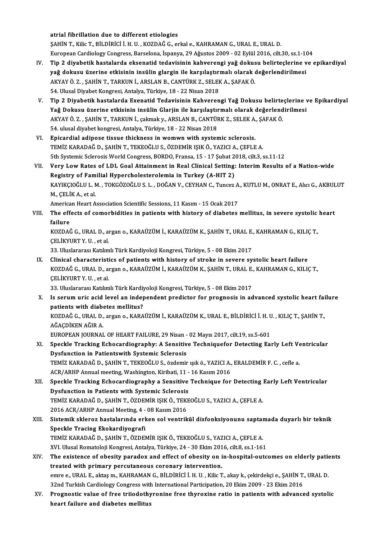atrial fibrillation due to different etiologies

ŞAHİNT.,KilicT.,BİLDİRİCİ İ.H.U. ,KOZDAĞG.,erkale.,KAHRAMANG.,URAL E.,URALD. atrial fibrillation due to different etiologies<br>ŞAHİN T., Kilic T., BİLDİRİCİ İ. H. U. , KOZDAĞ G., erkal e., KAHRAMAN G., URAL E., URAL D.<br>European Cardiology Congress, Barselona, İspanya, 29 Ağustos 2009 - 02 Eylül 2016,

- IV. Tip 2 diyabetik hastalarda eksenatid tedavisinin kahverengi yağ dokusu belirteçlerine ve epikardiyal European Cardiology Congress, Barselona, İspanya, 29 Ağustos 2009 - 02 Eylül 2016, cilt.30, ss.1-10<br>Tip 2 diyabetik hastalarda eksenatid tedavisinin kahverengi yağ dokusu belirteçlerine v<br>yağ dokusu üzerine etkisinin insül Tip 2 diyabetik hastalarda eksenatid tedavisinin kahverengi yağ dokus<br>yağ dokusu üzerine etkisinin insülin glargin ile karşılaştırmalı olarak (<br>AKYAY Ö. Z. , ŞAHİN T., TARKUN İ., ARSLAN B., CANTÜRK Z., SELEK A., ŞAFAK Ö.<br>5 yağ dokusu üzerine etkisinin insülin glargin ile karşılaştır:<br>AKYAY Ö. Z. , ŞAHİN T., TARKUN İ., ARSLAN B., CANTÜRK Z., SELEF<br>54. Ulusal Diyabet Kongresi, Antalya, Türkiye, 18 - 22 Nisan 2018<br>Tin 2. Diyabetik bastalarda Ex
- 54. Ulusal Diyabet Kongresi, Antalya, Türkiye, 18 22 Nisan 2018<br>V. Tip 2 Diyabetik hastalarda Exenatid Tedavisinin Kahverengi Yağ Dokusu belirteçlerine ve Epikardiyal Yağ Dokusu üzerine etkisinin insülin Glarjin ile karşılaştırmalı olarak değerlendirilmesi Tip 2 Diyabetik hastalarda Exenatid Tedavisinin Kahverengi Yağ Dokusu belirte<br>Yağ Dokusu üzerine etkisinin insülin Glarjin ile karşılaştırmalı olarak değerlend<br>AKYAY Ö. Z. , ŞAHİN T., TARKUN İ., çakmak y., ARSLAN B., CANTÜ Yağ Dokusu üzerine etkisinin insülin Glarjin ile karşılaştıı<br>AKYAY Ö. Z. , ŞAHİN T., TARKUN İ., çakmak y., ARSLAN B., CANTÜF<br>54. ulusal diyabet kongresi, Antalya, Türkiye, 18 - 22 Nisan 2018<br>Enisandial adinasa tissua thisk AKYAY Ö. Z., ŞAHİN T., TARKUN İ., çakmak y., ARSLAN B., CANTÜRK Z., SELEK A.<br>54. ulusal diyabet kongresi, Antalya, Türkiye, 18 - 22 Nisan 2018<br>VI. Bpicardial adipose tissue thickness in womwn with systemic sclerosis.<br>TEMIZ
- 54. ulusal diyabet kongresi, Antalya, Türkiye, 18 22 Nisan 2018<br>VI. Epicardial adipose tissue thickness in womwn with systemic sclerosis.<br>TEMİZ KARADAĞ D., ŞAHİN T., TEKEOĞLU S., ÖZDEMİR IŞIK Ö., YAZICI A., ÇEFLE A. Epicardial adipose tissue thickness in womwn with systemic sclerosis.<br>TEMİZ KARADAĞ D., ŞAHİN T., TEKEOĞLU S., ÖZDEMİR IŞIK Ö., YAZICI A., ÇEFLE A.<br>5th Systemic Sclerosis World Congress, BORDO, Fransa, 15 - 17 Şubat 2018, TEMİZ KARADAĞ D., ŞAHİN T., TEKEOĞLU S., ÖZDEMİR IŞIK Ö., YAZICI A., ÇEFLE A.<br>5th Systemic Sclerosis World Congress, BORDO, Fransa, 15 - 17 Şubat 2018, cilt.3, ss.11-12<br>VII. Very Low Rates of LDL Goal Attainment in Rea
- 5th Systemic Sclerosis World Congress, BORDO, Fransa, 15 17 Şubat 2<br>Very Low Rates of LDL Goal Attainment in Real Clinical Setting:<br>Registry of Familial Hypercholesterolemia in Turkey (A-HIT 2)<br>KANIKCIOČUJ J. M. TOKCÖZOČ Very Low Rates of LDL Goal Attainment in Real Clinical Setting: Interim Results of a Nation-wide<br>Registry of Familial Hypercholesterolemia in Turkey (A-HIT 2)<br>KAYIKÇIOĞLU L. M. , TOKGÖZOĞLU S. L. , DOĞAN V., CEYHAN C., Tun Registry of Familial Hypercholesterolemia in Turkey (A-HIT 2)<br>KAYIKÇIOĞLU L. M. , TOKGÖZOĞLU S. L. , DOĞAN V., CEYHAN C., Tuncez A<br>M., ÇELİK A., et al.<br>American Heart Association Scientific Sessions. 11 Kasım - 15 Ocak 201 KAYIKÇIOĞLU L. M., TOKGÖZOĞLU S. L., DOĞAN V., CEYHAN C., Tuncez A., KUTLU M., ONRAT E., Alıcı G., AKBULUT

M., ÇELİK A., et al.<br>American Heart Association Scientific Sessions, 11 Kasım - 15 Ocak 2017<br>VIII. The effects of comorbidities in patients with history of diabetes mellitus, in severe systolic heart<br>ـ America<br>The eff<br>failure<br>KOZDAC The effects of comorbidities in patients with history of diabetes mellitus, in severe systolic<br>failure<br>KOZDAĞ G., URAL D., argan o., KARAÜZÜM İ., KARAÜZÜM K., ŞAHİN T., URAL E., KAHRAMAN G., KILIÇ T.,<br>CELİKVURT V. H. ot ol

failure<br>KOZDAĞ G., URAL D., argan o., KARAÜZÜM İ., KARAÜZÜM K., ŞAHİN T., URAL E., KAHRAMAN G., KILIÇ T.,<br>ÇELİKYURT Y. U. , et al.

33. Uluslararası Katılımlı Türk Kardiyoloji Kongresi, Türkiye, 5 - 08 Ekim 2017

IX. Clinical characteristics of patients with history of stroke in severe systolic heart failure 33. Uluslararası Katılımlı Türk Kardiyoloji Kongresi, Türkiye, 5 - 08 Ekim 2017<br>Clinical characteristics of patients with history of stroke in severe systolic heart failure<br>KOZDAĞ G., URAL D., argan o., KARAÜZÜM İ., KARAÜZ Clinical characteristi<br>KOZDAĞ G., URAL D., a:<br>ÇELİKYURT Y. U. , et al.<br><sup>22. Uluclararası Katlım</sup> KOZDAĞ G., URAL D., argan o., KARAÜZÜM İ., KARAÜZÜM K., ŞAHİN T., URAL E.<br>ÇELİKYURT Y. U. , et al.<br>33. Uluslararası Katılımlı Türk Kardiyoloji Kongresi, Türkiye, 5 - 08 Ekim 2017<br>Is serum uris asid lavel an independent pre

CELİKYURT Y. U. , et al.<br>33. Uluslararası Katılımlı Türk Kardiyoloji Kongresi, Türkiye, 5 - 08 Ekim 2017<br>X. Is serum uric acid level an independent predictor for prognosis in advanced systolic heart failure<br>nationts wi 33. Uluslararası Katılımlı Türk Kardiy<br>Is serum uric acid level an indep<br>patients with diabetes mellitus?<br>KOZDAČ C. URAL D. argan e. KARA Is serum uric acid level an independent predictor for prognosis in advanced systolic heart fai<br>patients with diabetes mellitus?<br>KOZDAĞ G., URAL D., argan o., KARAÜZÜM İ., KARAÜZÜM K., URAL E., BİLDİRİCİ İ. H. U. , KILIÇ T. patients with diab<br>KOZDAĞ G., URAL D.,<br>AĞAÇDİKEN AĞIR A.<br>EUROPEAN JOUPNAL KOZDAĞ G., URAL D., argan o., KARAÜZÜM İ., KARAÜZÜM K., URAL E., BİLDİRİCİ İ. H. U<br>AĞAÇDİKEN AĞIR A.<br>EUROPEAN JOURNAL OF HEART FAILURE, 29 Nisan - 02 Mayıs 2017, cilt.19, ss.5-601<br>Speekle Tracking Esbesendiesrephy: A Sensi

- AĞAÇDİKEN AĞIR A.<br>EUROPEAN JOURNAL OF HEART FAILURE, 29 Nisan 02 Mayıs 2017, cilt.19, ss.5-601<br>XI. Speckle Tracking Echocardiography: A Sensitive Techniquefor Detecting Early Left Ventricular<br>Dygfynation in Patientewith EUROPEAN JOURNAL OF HEART FAILURE, 29 Nisan - 02 Mayıs 2017, cilt.19, ss.5-601<br>Speckle Tracking Echocardiography: A Sensitive Techniquefor Detecting Ea<br>Dysfunction in Patientswith Systemic Sclerosis Speckle Tracking Echocardiography: A Sensitive Techniquefor Detecting Early Left Ve<br>Dysfunction in Patientswith Systemic Sclerosis<br>TEMİZ KARADAĞ D., ŞAHİN T., TEKEOĞLU S., özdemir ışık ö., YAZICI A., ERALDEMİR F. C. , cefl TEMİZ KARADAĞ D., ŞAHİN T., TEKEOĞLU S., özdemir ışık ö., YAZICI A., ERALDEMİR F. C. , cefle a.<br>ACR/ARHP Annual meeting, Washington, Kiribati, 11 - 16 Kasım 2016 TEMİZ KARADAĞ D., ŞAHİN T., TEKEOĞLU S., özdemir ışık ö., YAZICI A., ERALDEMİR F. C. , cefle a.<br>ACR/ARHP Annual meeting, Washington, Kiribati, 11 - 16 Kasım 2016<br>XII. Speckle Tracking Echocardiography a Sensitive Technique
- ACR/ARHP Annual meeting, Washington, Kiribati, 11 -<br>Speckle Tracking Echocardiography a Sensitive<br>Dysfunction in Patients with Systemic Sclerosis<br>TEMIZ KARADAČ D. SAHIN T. ÖZDEMIR KIK Ö. TEKE Speckle Tracking Echocardiography a Sensitive Technique for Detecting<br>Dysfunction in Patients with Systemic Sclerosis<br>TEMİZ KARADAĞ D., ŞAHİN T., ÖZDEMİR IŞIK Ö., TEKEOĞLU S., YAZICI A., ÇEFLE A.<br>2016 ACP (ABHR Annual Most Dysfunction in Patients with Systemic Sclerosis<br>TEMİZ KARADAĞ D., ŞAHİN T., ÖZDEMİR IŞIK Ö., TEKEOĞLU S., YAZICI A., ÇEFLE A. TEMİZ KARADAĞ D., ŞAHİN T., ÖZDEMİR IŞIK Ö., TEKEOĞLU S., YAZICI A., ÇEFLE A.<br>2016 ACR/ARHP Annual Meeting, 4 - 08 Kasım 2016<br>XIII. Sistemik skleroz hastalarında erken sol ventrikül disfonksiyonunu saptamada duyarlı bi
- 2016 ACR/ARHP Annual Meeting, 4 08 Kasım 2016<br>Sistemik skleroz hastalarında erken sol ventrikül disfonksiyonunu saptar<br>Speckle Tracing Ekokardiyografi<br>TEMİZ KARADAĞ D., SAHİN T., ÖZDEMİR ISIK Ö., TEKEOĞLU S., YAZICI A., Sistemik skleroz hastalarında erken sol ventrikül disfonksiyonunu saptaı<br>Speckle Tracing Ekokardiyografi<br>TEMİZ KARADAĞ D., ŞAHİN T., ÖZDEMİR IŞIK Ö., TEKEOĞLU S., YAZICI A., ÇEFLE A.<br>YU Husal Bamatalaji Kangrasi Antalya Tü Speckle Tracing Ekokardiyografi<br>TEMİZ KARADAĞ D., ŞAHİN T., ÖZDEMİR IŞIK Ö., TEKEOĞLU S., YAZICI A., ÇEFLE A.<br>XVI. Ulusal Romatoloji Kongresi, Antalya, Türkiye, 24 - 30 Ekim 2016, cilt.8, ss.1-161<br>The evistense of obesity
- XIV. The existence of obesity paradox and effect of obesity on in-hospital-outcomes on elderly patients XVI. Ulusal Romatoloji Kongresi, Antalya, Türkiye, 24 - 30 Ekim 201<br>The existence of obesity paradox and effect of obesity on i<br>treated with primary percutaneous coronary intervention.<br>Anno 6 UBAL E altrem KAURAMAN G PU Di The existence of obesity paradox and effect of obesity on in-hospital-outcomes on elderly pation<br>treated with primary percutaneous coronary intervention.<br>emre e., URAL E., aktaşm., KAHRAMAN G., BİLDİRİCİ İ. H. U. , Kilic T treated with primary percutaneous coronary intervention.<br>emre e., URAL E., aktaş m., KAHRAMAN G., BİLDİRİCİ İ. H. U. , Kilic T., akay k., çekirdekçi e., ŞAHİN T.<br>32nd Turkish Cardiology Congress with International Particip emre e., URAL E., aktaş m., KAHRAMAN G., BİLDİRİCİ İ. H. U. , Kilic T., akay k., çekirdekçi e., ŞAHİN T., URAL D.<br>32nd Turkish Cardiology Congress with International Participation, 20 Ekim 2009 - 23 Ekim 2016<br>XV. Prognosti
- 32nd Turkish Cardiology Congress with International Participation, 20 Ekim 2009 23 Ekim 2016<br>XV. Prognostic value of free triiodothyronine free thyroxine ratio in patients with advanced systolic<br>heart failure and diabete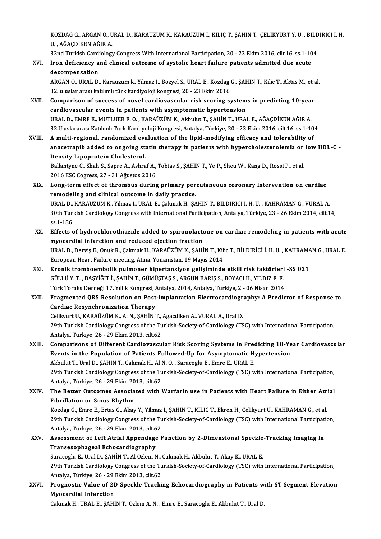KOZDAĞ G., ARGAN O., URAL D., KARAÜZÜM K., KARAÜZÜM İ., KILIÇ T., ŞAHİN T., ÇELİKYURT Y. U. , BİLDİRİCİ İ. H.<br>U. AĞAÇDİKEN AĞIR A KOZDAĞ G., ARGAN O., U.<br>U. , AĞAÇDİKEN AĞIR A.<br>22nd Turkish Cardislam KOZDAĞ G., ARGAN O., URAL D., KARAÜZÜM K., KARAÜZÜM İ., KILIÇ T., ŞAHİN T., ÇELİKYURT Y. U. , BİLD<br>U. , AĞAÇDİKEN AĞIR A.<br>32nd Turkish Cardiology Congress With International Participation, 20 - 23 Ekim 2016, cilt.16, ss.1-

# U. , AĞAÇDİKEN AĞIR A.<br>32nd Turkish Cardiology Congress With International Participation, 20 - 23 Ekim 2016, cilt.16, ss.1-10<br>XVI. Iron deficiency and clinical outcome of systolic heart failure patients admitted due ac 32nd Turkish Cardi<br>Iron deficiency a<br>decompensation<br>APCAN O UPAL D Iron deficiency and clinical outcome of systolic heart failure patients admitted due acute<br>decompensation<br>ARGAN 0., URAL D., Karauzum k., Yilmaz I., Bozyel S., URAL E., Kozdag G., ŞAHİN T., Kilic T., Aktas M., et al.<br>22. u

decompensation<br>ARGAN O., URAL D., Karauzum k., Yilmaz I., Bozyel S., URAL E., Kozdag<br>32. uluslar arası katılımlı türk kardiyoloji kongresi, 20 - 23 Ekim 2016<br>Comparison of sussess of povel sardiovassular risk ssoring sı ARGAN O., URAL D., Karauzum k., Yilmaz I., Bozyel S., URAL E., Kozdag G., ŞAHİN T., Kilic T., Aktas M., et a<br>32. uluslar arası katılımlı türk kardiyoloji kongresi, 20 - 23 Ekim 2016<br>XVII. Comparison of success of novel car

- 32. uluslar arası katılımlı türk kardiyoloji kongresi, 20 23 Ekim 2016<br>Comparison of success of novel cardiovascular risk scoring system<br>cardiovascular events in patients with asymptomatic hypertension<br>UPALD, EMPEE MITHU Comparison of success of novel cardiovascular risk scoring systems in predicting 10-year<br>cardiovascular events in patients with asymptomatic hypertension<br>URAL D., EMRE E., MUTLUER F. O. , KARAÜZÜM K., Akbulut T., ŞAHİN T., cardiovascular events in patients with asymptomatic hypertension<br>URAL D., EMRE E., MUTLUER F. O. , KARAÜZÜM K., Akbulut T., ŞAHİN T., URAL E., AĞAÇDİKEN AĞIR A.<br>32.Uluslararası Katılımlı Türk Kardiyoloji Kongresi, Antalya, URAL D., EMRE E., MUTLUER F. O., KARAÜZÜM K., Akbulut T., ŞAHİN T., URAL E., AĞAÇDİKEN AĞIR A.<br>32.Uluslararası Katılımlı Türk Kardiyoloji Kongresi, Antalya, Türkiye, 20 - 23 Ekim 2016, cilt.16, ss.1-10<br>XVIII. A multi-regio
- 32.Uluslararası Katılımlı Türk Kardiyoloji Kongresi, Antalya, Türkiye, 20 23 Ekim 2016, cilt.16, ss.1-104<br>A multi-regional, randomized evaluation of the lipid-modifying efficacy and tolerability of<br>anacetrapib added to o A multi-regional, randomized evaluation of the lipid-modifying efficacy and tolerability of anacetrapib added to ongoing statin therapy in patients with hypercholesterolemia or low Density Lipoprotein Cholesterol. anacetrapib added to ongoing statin therapy in patients with hypercholesterolemia or<br>Density Lipoprotein Cholesterol.<br>Ballantyne C., Shah S., Sapre A., Ashraf A., Tobias S., ŞAHİN T., Ye P., Sheu W., Kang D., Rossi P., et

Ballantyne C., Shah S., Sapre A., Ashraf A., Tobias S., ŞAHİN T., Ye P., Sheu W., Kang D., Rossi P., et al.<br>2016 ESC Cogress, 27 - 31 Ağustos 2016 Ballantyne C., Shah S., Sapre A., Ashraf A., Tobias S., ŞAHİN T., Ye P., Sheu W., Kang D., Rossi P., et al.<br>2016 ESC Cogress, 27 - 31 Ağustos 2016<br>XIX. Long-term effect of thrombus during primary percutaneous coronary inte

- 2016 ESC Cogress, 27 31 Ağustos 2016<br>Long-term effect of thrombus during primary per<br>remodeling and clinical outcome in daily practice.<br>UPALD, KARAÜZÜM K. Yılmar i, UPALE Colmak H. SA Long-term effect of thrombus during primary percutaneous coronary intervention on cardiac<br>remodeling and clinical outcome in daily practice.<br>URAL D., KARAÜZÜM K., Yılmaz İ., URAL E., Çakmak H., ŞAHİN T., BİLDİRİCİ İ. H. U. remodeling and clinical outcome in daily practice.<br>URAL D., KARAÜZÜM K., Yılmaz İ., URAL E., Çakmak H., ŞAHİN T., BİLDİRİCİ İ. H. U. , KAHRAMAN G., VURAL A.<br>30th Turkish Cardiology Congress with International Participation URAL D.,<br>30th Turl<br>ss.1-186<br>Effects s 30th Turkish Cardiology Congress with International Participation, Antalya, Türkiye, 23 - 26 Ekim 2014, cilt.14,<br>ss.1-186<br>XX. Effects of hydrochlorothiazide added to spironolactone on cardiac remodeling in patients with ac
- ss.1-186<br>Effects of hydrochlorothiazide added to spironolactone on cardiac remodeling in patients with acute<br>myocardial infarction and reduced ejection fraction Effects of hydrochlorothiazide added to spironolactone on cardiac remodeling in patients with acute<br>myocardial infarction and reduced ejection fraction<br>URAL D., Derviş E., Onuk R., Çakmak H., KARAÜZÜM K., ŞAHİN T., Kilic T myocardial infarction and reduced ejection fraction<br>URAL D., Derviş E., Onuk R., Çakmak H., KARAÜZÜM K., ŞAHİN T., Kili<br>European Heart Failure meeting, Atina, Yunanistan, 19 Mayıs 2014<br>Kranik trambasınbalik pulmanar binart
- URAL D., Derviş E., Onuk R., Çakmak H., KARAÜZÜM K., ŞAHİN T., Kilic T., BİLDİRİCİ İ. H. U. , KAHRAMA<br>European Heart Failure meeting, Atina, Yunanistan, 19 Mayıs 2014<br>XXI. Kronik tromboembolik pulmoner hipertansiyon gelişi European Heart Failure meeting, Atina, Yunanistan, 19 Mayıs 2014<br><mark>Kronik tromboembolik pulmoner hipertansiyon gelişiminde etkili risk faktörleri</mark><br>GÜLLÜ Y. T. , BAŞYİĞİT İ., ŞAHİN T., GÜMÜŞTAŞ S., ARGUN BARIŞ S., BOYACI H., Kronik tromboembolik pulmoner hipertansiyon gelişiminde etkili risk faktörleri<br>GÜLLÜ Y. T. , BAŞYİĞİT İ., ŞAHİN T., GÜMÜŞTAŞ S., ARGUN BARIŞ S., BOYACI H., YILDIZ F. F.<br>Türk Toraks Derneği 17. Yıllık Kongresi, Antalya, 201 GÜLLÜ Y. T. , BAŞYİĞİT İ., ŞAHİN T., GÜMÜŞTAŞ S., ARGUN BARIŞ S., BOYACI H., YILDIZ F. F.<br>Türk Toraks Derneği 17. Yıllık Kongresi, Antalya, 2014, Antalya, Türkiye, 2 - 06 Nisan 2014<br>XXII. Fragmented QRS Resolution on P
- Türk Toraks Derneği 17. Yıllık Kongresi, *I*<br>Fragmented QRS Resolution on Post<br>Cardiac Resynchronization Therapy<br>Celilunut II, KARAÜZÜM K. ALN. SAHİN I Fragmented QRS Resolution on Post-implantation Electrocardiogr<br>Cardiac Resynchronization Therapy<br>Celikyurt U., KARAÜZÜM K., Al N., ŞAHİN T., Agacdiken A., VURAL A., Ural D.<br>20th Turkish Cardialogy Congress of the Turkish S Cardiac Resynchronization Therapy<br>Celikyurt U., KARAÜZÜM K., Al N., ŞAHİN T., Agacdiken A., VURAL A., Ural D.<br>29th Turkish Cardiology Congress of the Turkish-Society-of-Cardiology (TSC) with International Participation,<br>An Celikyurt U., KARAÜZÜM K., Al N., ŞAHİN T.,<br>29th Turkish Cardiology Congress of the Tu<br>Antalya, Türkiye, 26 - 29 Ekim 2013, cilt.62<br>Comparisons of Different Cardiouaseu 29th Turkish Cardiology Congress of the Turkish-Society-of-Cardiology (TSC) with International Participation,<br>Antalya, Türkiye, 26 - 29 Ekim 2013, cilt.62<br>XXIII. Comparisons of Different Cardiovascular Risk Scoring Systems
- Antalya, Türkiye, 26 29 Ekim 2013, cilt.62<br>Comparisons of Different Cardiovascular Risk Scoring Systems in Predicting 10-Ye<br>Events in the Population of Patients Followed-Up for Asymptomatic Hypertension Comparisons of Different Cardiovascular Risk Scoring Systems in Pree<br>Events in the Population of Patients Followed-Up for Asymptomatic H.<br>Akbulut T., Ural D., SAHİN T., Cakmak H., Al N. O. , Saracoglu E., Emre E., URAL E.<br> Events in the Population of Patients Followed-Up for Asymptomatic Hypertension<br>Akbulut T., Ural D., ŞAHİN T., Cakmak H., Al N. O. , Saracoglu E., Emre E., URAL E.<br>29th Turkish Cardiology Congress of the Turkish-Society-of-Akbulut T., Ural D., ŞAHİN T., Cakmak H., Al I<br>29th Turkish Cardiology Congress of the Tu<br>Antalya, Türkiye, 26 - 29 Ekim 2013, cilt.62<br>The Better Quteemes, Associated with 1

XXIV. The Better Outcomes Associated with Warfarin use in Patients with Heart Failure in Either Atrial<br>Fibrillation or Sinus Rhythm Antalya, Türkiye, 26 - 29 Ekim 20<br>The Better Outcomes Associat<br>Fibrillation or Sinus Rhythm The Better Outcomes Associated with Warfarin use in Patients with Heart Failure in Either Atr<br>Fibrillation or Sinus Rhythm<br>Kozdag G., Emre E., Ertas G., Akay Y., Yilmaz I., ŞAHİN T., KILIÇ T., Ekren H., Celikyurt U., KAHRA Fibrillation or Sinus Rhythm<br>Kozdag G., Emre E., Ertas G., Akay Y., Yilmaz I., ŞAHİN T., KILIÇ T., Ekren H., Celikyurt U., KAHRAMAN G., et al.<br>29th Turkish Cardiology Congress of the Turkish-Society-of-Cardiology (TSC) wit Kozdag G., Emre E., Ertas G., Akay Y., Yilmaz<br>29th Turkish Cardiology Congress of the Tu<br>Antalya, Türkiye, 26 - 29 Ekim 2013, cilt.62<br>Assessment of Left Atriel Annendage P 29th Turkish Cardiology Congress of the Turkish-Society-of-Cardiology (TSC) with International Participation,<br>Antalya, Türkiye, 26 - 29 Ekim 2013, cilt.62<br>XXV. Assessment of Left Atrial Appendage Function by 2-Dimensional Antalya, Türkiye, 26 - 29 Ekim 2013, cilt.62

Assessment of Left Atrial Appendage Function by 2-Dimensional Speckle-Tracking Imaging in 29th Turkish Cardiology Congress of the Turkish-Society-of-Cardiology (TSC) with International Participation,<br>Antalya, Türkiye, 26 - 29 Ekim 2013, cilt.62 Saracoglu E., Ural D., ŞAHİN T., Al Ozlem N., Cakmak H., Akbulut T., Akay K., URAL E. 29th Turkish Cardiology Congress of the Turkish-Society-of-Cardiology (TSC) with International Participation,<br>Antalya, Türkiye, 26 - 29 Ekim 2013, cilt.62<br>XXVI. Prognostic Value of 2D Speckle Tracking Echocardiography in P

Antalya, Türkiye, 26 - 29 |<br>Prognostic Value of 21<br>Myocardial Infarction Prognostic Value of 2D Speckle Tracking Echocardiography in Patients w<br>Myocardial Infarction<br>Cakmak H., URAL E., ŞAHİN T., Ozlem A. N. , Emre E., Saracoglu E., Akbulut T., Ural D.